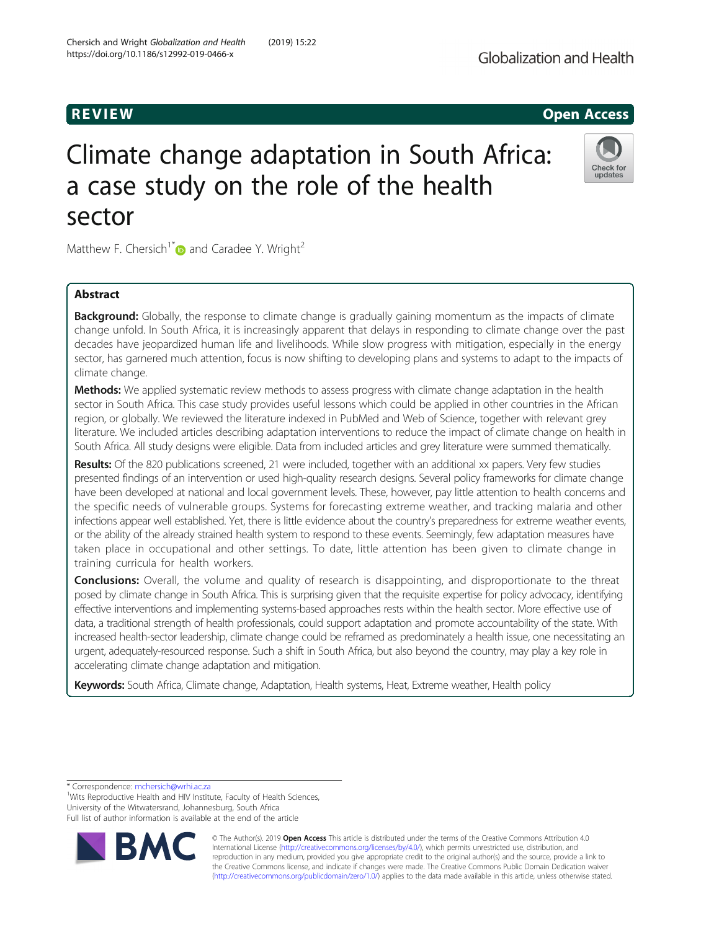# R EVI EW Open Access

# Climate change adaptation in South Africa: a case study on the role of the health sector

Matthew F. Chersich<sup>1\*</sup> and Caradee Y. Wright<sup>2</sup>

# Abstract

**Background:** Globally, the response to climate change is gradually gaining momentum as the impacts of climate change unfold. In South Africa, it is increasingly apparent that delays in responding to climate change over the past decades have jeopardized human life and livelihoods. While slow progress with mitigation, especially in the energy sector, has garnered much attention, focus is now shifting to developing plans and systems to adapt to the impacts of climate change.

Methods: We applied systematic review methods to assess progress with climate change adaptation in the health sector in South Africa. This case study provides useful lessons which could be applied in other countries in the African region, or globally. We reviewed the literature indexed in PubMed and Web of Science, together with relevant grey literature. We included articles describing adaptation interventions to reduce the impact of climate change on health in South Africa. All study designs were eligible. Data from included articles and grey literature were summed thematically.

Results: Of the 820 publications screened, 21 were included, together with an additional xx papers. Very few studies presented findings of an intervention or used high-quality research designs. Several policy frameworks for climate change have been developed at national and local government levels. These, however, pay little attention to health concerns and the specific needs of vulnerable groups. Systems for forecasting extreme weather, and tracking malaria and other infections appear well established. Yet, there is little evidence about the country's preparedness for extreme weather events, or the ability of the already strained health system to respond to these events. Seemingly, few adaptation measures have taken place in occupational and other settings. To date, little attention has been given to climate change in training curricula for health workers.

**Conclusions:** Overall, the volume and quality of research is disappointing, and disproportionate to the threat posed by climate change in South Africa. This is surprising given that the requisite expertise for policy advocacy, identifying effective interventions and implementing systems-based approaches rests within the health sector. More effective use of data, a traditional strength of health professionals, could support adaptation and promote accountability of the state. With increased health-sector leadership, climate change could be reframed as predominately a health issue, one necessitating an urgent, adequately-resourced response. Such a shift in South Africa, but also beyond the country, may play a key role in accelerating climate change adaptation and mitigation.

Keywords: South Africa, Climate change, Adaptation, Health systems, Heat, Extreme weather, Health policy

\* Correspondence: [mchersich@wrhi.ac.za](mailto:mchersich@wrhi.ac.za) <sup>1</sup>

<sup>1</sup>Wits Reproductive Health and HIV Institute, Faculty of Health Sciences, University of the Witwatersrand, Johannesburg, South Africa Full list of author information is available at the end of the article

> © The Author(s). 2019 **Open Access** This article is distributed under the terms of the Creative Commons Attribution 4.0 International License [\(http://creativecommons.org/licenses/by/4.0/](http://creativecommons.org/licenses/by/4.0/)), which permits unrestricted use, distribution, and reproduction in any medium, provided you give appropriate credit to the original author(s) and the source, provide a link to the Creative Commons license, and indicate if changes were made. The Creative Commons Public Domain Dedication waiver [\(http://creativecommons.org/publicdomain/zero/1.0/](http://creativecommons.org/publicdomain/zero/1.0/)) applies to the data made available in this article, unless otherwise stated.

Chersich and Wright Globalization and Health (2019) 15:22 https://doi.org/10.1186/s12992-019-0466-x



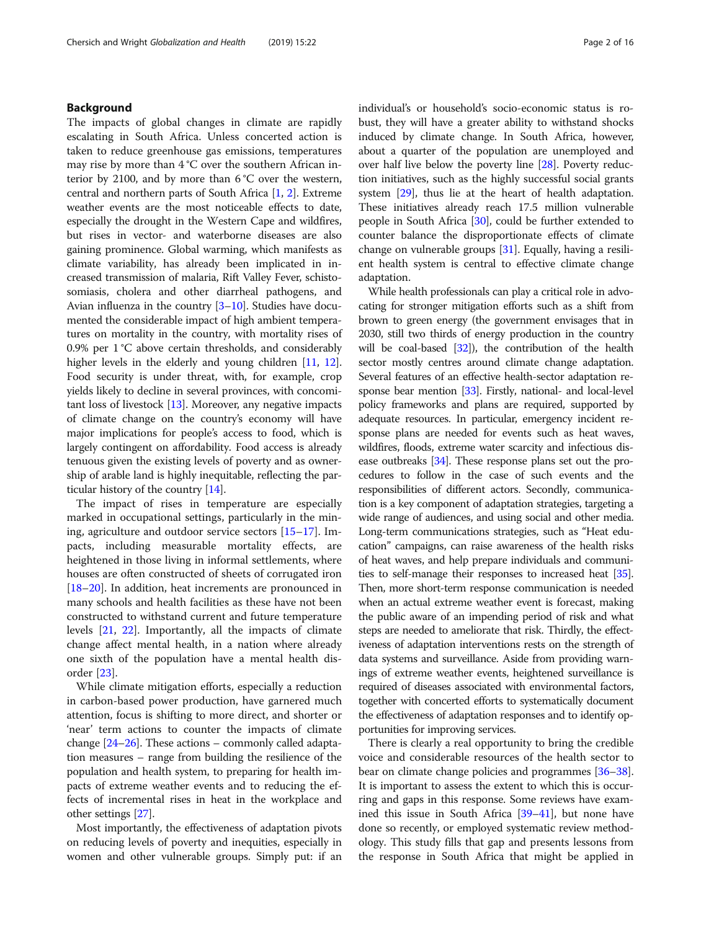# Background

The impacts of global changes in climate are rapidly escalating in South Africa. Unless concerted action is taken to reduce greenhouse gas emissions, temperatures may rise by more than 4 °C over the southern African interior by 2100, and by more than 6 °C over the western, central and northern parts of South Africa [\[1,](#page-13-0) [2\]](#page-13-0). Extreme weather events are the most noticeable effects to date, especially the drought in the Western Cape and wildfires, but rises in vector- and waterborne diseases are also gaining prominence. Global warming, which manifests as climate variability, has already been implicated in increased transmission of malaria, Rift Valley Fever, schistosomiasis, cholera and other diarrheal pathogens, and Avian influenza in the country [[3](#page-13-0)–[10](#page-13-0)]. Studies have documented the considerable impact of high ambient temperatures on mortality in the country, with mortality rises of 0.9% per 1 °C above certain thresholds, and considerably higher levels in the elderly and young children [[11](#page-13-0), [12](#page-13-0)]. Food security is under threat, with, for example, crop yields likely to decline in several provinces, with concomitant loss of livestock [\[13\]](#page-13-0). Moreover, any negative impacts of climate change on the country's economy will have major implications for people's access to food, which is largely contingent on affordability. Food access is already tenuous given the existing levels of poverty and as ownership of arable land is highly inequitable, reflecting the particular history of the country [\[14\]](#page-13-0).

The impact of rises in temperature are especially marked in occupational settings, particularly in the mining, agriculture and outdoor service sectors [[15](#page-13-0)–[17](#page-13-0)]. Impacts, including measurable mortality effects, are heightened in those living in informal settlements, where houses are often constructed of sheets of corrugated iron [[18](#page-13-0)–[20](#page-13-0)]. In addition, heat increments are pronounced in many schools and health facilities as these have not been constructed to withstand current and future temperature levels [\[21,](#page-13-0) [22\]](#page-13-0). Importantly, all the impacts of climate change affect mental health, in a nation where already one sixth of the population have a mental health disorder [[23\]](#page-13-0).

While climate mitigation efforts, especially a reduction in carbon-based power production, have garnered much attention, focus is shifting to more direct, and shorter or 'near' term actions to counter the impacts of climate change [[24](#page-13-0)–[26\]](#page-13-0). These actions – commonly called adaptation measures – range from building the resilience of the population and health system, to preparing for health impacts of extreme weather events and to reducing the effects of incremental rises in heat in the workplace and other settings [[27](#page-13-0)].

Most importantly, the effectiveness of adaptation pivots on reducing levels of poverty and inequities, especially in women and other vulnerable groups. Simply put: if an individual's or household's socio-economic status is robust, they will have a greater ability to withstand shocks induced by climate change. In South Africa, however, about a quarter of the population are unemployed and over half live below the poverty line [\[28\]](#page-13-0). Poverty reduction initiatives, such as the highly successful social grants system [\[29\]](#page-13-0), thus lie at the heart of health adaptation. These initiatives already reach 17.5 million vulnerable people in South Africa [\[30\]](#page-13-0), could be further extended to counter balance the disproportionate effects of climate change on vulnerable groups [\[31\]](#page-13-0). Equally, having a resilient health system is central to effective climate change adaptation.

While health professionals can play a critical role in advocating for stronger mitigation efforts such as a shift from brown to green energy (the government envisages that in 2030, still two thirds of energy production in the country will be coal-based [\[32\]](#page-13-0)), the contribution of the health sector mostly centres around climate change adaptation. Several features of an effective health-sector adaptation response bear mention [\[33\]](#page-13-0). Firstly, national- and local-level policy frameworks and plans are required, supported by adequate resources. In particular, emergency incident response plans are needed for events such as heat waves, wildfires, floods, extreme water scarcity and infectious disease outbreaks [\[34](#page-13-0)]. These response plans set out the procedures to follow in the case of such events and the responsibilities of different actors. Secondly, communication is a key component of adaptation strategies, targeting a wide range of audiences, and using social and other media. Long-term communications strategies, such as "Heat education" campaigns, can raise awareness of the health risks of heat waves, and help prepare individuals and communities to self-manage their responses to increased heat [\[35](#page-13-0)]. Then, more short-term response communication is needed when an actual extreme weather event is forecast, making the public aware of an impending period of risk and what steps are needed to ameliorate that risk. Thirdly, the effectiveness of adaptation interventions rests on the strength of data systems and surveillance. Aside from providing warnings of extreme weather events, heightened surveillance is required of diseases associated with environmental factors, together with concerted efforts to systematically document the effectiveness of adaptation responses and to identify opportunities for improving services.

There is clearly a real opportunity to bring the credible voice and considerable resources of the health sector to bear on climate change policies and programmes [\[36](#page-13-0)–[38](#page-13-0)]. It is important to assess the extent to which this is occurring and gaps in this response. Some reviews have examined this issue in South Africa [[39](#page-13-0)–[41\]](#page-14-0), but none have done so recently, or employed systematic review methodology. This study fills that gap and presents lessons from the response in South Africa that might be applied in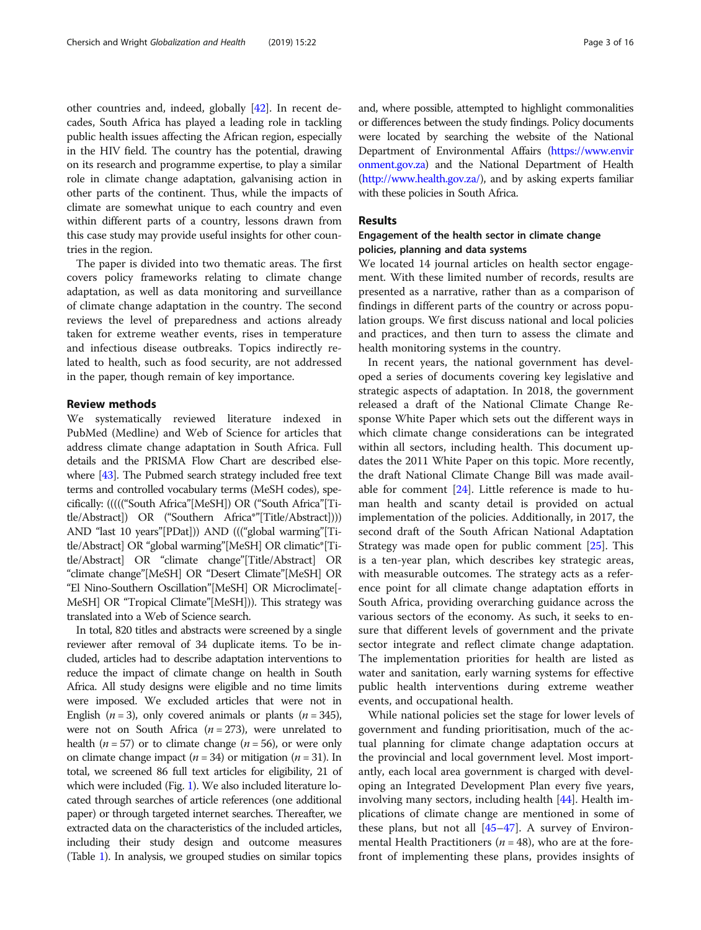other countries and, indeed, globally [\[42\]](#page-14-0). In recent decades, South Africa has played a leading role in tackling public health issues affecting the African region, especially in the HIV field. The country has the potential, drawing on its research and programme expertise, to play a similar role in climate change adaptation, galvanising action in other parts of the continent. Thus, while the impacts of climate are somewhat unique to each country and even within different parts of a country, lessons drawn from this case study may provide useful insights for other countries in the region.

The paper is divided into two thematic areas. The first covers policy frameworks relating to climate change adaptation, as well as data monitoring and surveillance of climate change adaptation in the country. The second reviews the level of preparedness and actions already taken for extreme weather events, rises in temperature and infectious disease outbreaks. Topics indirectly related to health, such as food security, are not addressed in the paper, though remain of key importance.

# Review methods

We systematically reviewed literature indexed in PubMed (Medline) and Web of Science for articles that address climate change adaptation in South Africa. Full details and the PRISMA Flow Chart are described elsewhere [[43](#page-14-0)]. The Pubmed search strategy included free text terms and controlled vocabulary terms (MeSH codes), specifically: ((((("South Africa"[MeSH]) OR ("South Africa"[Title/Abstract]) OR ("Southern Africa\*"[Title/Abstract]))) AND "last 10 years"[PDat])) AND ((("global warming"[Title/Abstract] OR "global warming"[MeSH] OR climatic\*[Title/Abstract] OR "climate change"[Title/Abstract] OR "climate change"[MeSH] OR "Desert Climate"[MeSH] OR "El Nino-Southern Oscillation"[MeSH] OR Microclimate[- MeSH] OR "Tropical Climate"[MeSH])). This strategy was translated into a Web of Science search.

In total, 820 titles and abstracts were screened by a single reviewer after removal of 34 duplicate items. To be included, articles had to describe adaptation interventions to reduce the impact of climate change on health in South Africa. All study designs were eligible and no time limits were imposed. We excluded articles that were not in English ( $n = 3$ ), only covered animals or plants ( $n = 345$ ), were not on South Africa ( $n = 273$ ), were unrelated to health ( $n = 57$ ) or to climate change ( $n = 56$ ), or were only on climate change impact ( $n = 34$ ) or mitigation ( $n = 31$ ). In total, we screened 86 full text articles for eligibility, 21 of which were included (Fig. [1\)](#page-3-0). We also included literature located through searches of article references (one additional paper) or through targeted internet searches. Thereafter, we extracted data on the characteristics of the included articles, including their study design and outcome measures (Table [1\)](#page-4-0). In analysis, we grouped studies on similar topics and, where possible, attempted to highlight commonalities or differences between the study findings. Policy documents were located by searching the website of the National Department of Environmental Affairs [\(https://www.envir](https://www.environment.gov.za) [onment.gov.za](https://www.environment.gov.za)) and the National Department of Health ([http://www.health.gov.za/\)](http://www.health.gov.za/), and by asking experts familiar with these policies in South Africa.

## Results

# Engagement of the health sector in climate change policies, planning and data systems

We located 14 journal articles on health sector engagement. With these limited number of records, results are presented as a narrative, rather than as a comparison of findings in different parts of the country or across population groups. We first discuss national and local policies and practices, and then turn to assess the climate and health monitoring systems in the country.

In recent years, the national government has developed a series of documents covering key legislative and strategic aspects of adaptation. In 2018, the government released a draft of the National Climate Change Response White Paper which sets out the different ways in which climate change considerations can be integrated within all sectors, including health. This document updates the 2011 White Paper on this topic. More recently, the draft National Climate Change Bill was made available for comment [[24\]](#page-13-0). Little reference is made to human health and scanty detail is provided on actual implementation of the policies. Additionally, in 2017, the second draft of the South African National Adaptation Strategy was made open for public comment [\[25](#page-13-0)]. This is a ten-year plan, which describes key strategic areas, with measurable outcomes. The strategy acts as a reference point for all climate change adaptation efforts in South Africa, providing overarching guidance across the various sectors of the economy. As such, it seeks to ensure that different levels of government and the private sector integrate and reflect climate change adaptation. The implementation priorities for health are listed as water and sanitation, early warning systems for effective public health interventions during extreme weather events, and occupational health.

While national policies set the stage for lower levels of government and funding prioritisation, much of the actual planning for climate change adaptation occurs at the provincial and local government level. Most importantly, each local area government is charged with developing an Integrated Development Plan every five years, involving many sectors, including health [[44\]](#page-14-0). Health implications of climate change are mentioned in some of these plans, but not all  $[45-47]$  $[45-47]$  $[45-47]$ . A survey of Environmental Health Practitioners ( $n = 48$ ), who are at the forefront of implementing these plans, provides insights of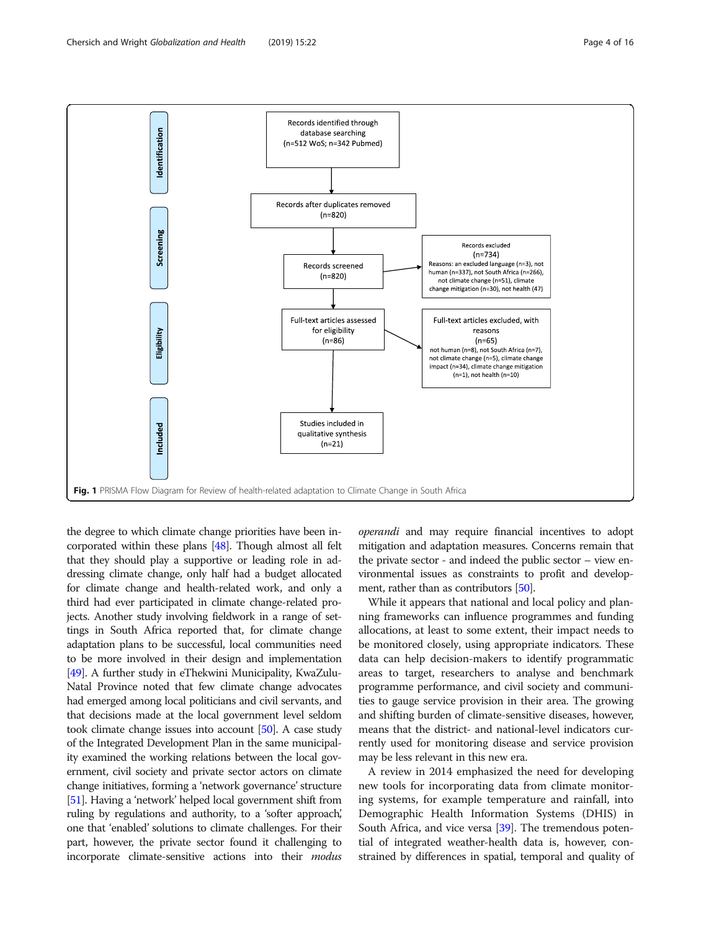<span id="page-3-0"></span>

the degree to which climate change priorities have been incorporated within these plans [[48\]](#page-14-0). Though almost all felt that they should play a supportive or leading role in addressing climate change, only half had a budget allocated for climate change and health-related work, and only a third had ever participated in climate change-related projects. Another study involving fieldwork in a range of settings in South Africa reported that, for climate change adaptation plans to be successful, local communities need to be more involved in their design and implementation [[49](#page-14-0)]. A further study in eThekwini Municipality, KwaZulu-Natal Province noted that few climate change advocates had emerged among local politicians and civil servants, and that decisions made at the local government level seldom took climate change issues into account [\[50](#page-14-0)]. A case study of the Integrated Development Plan in the same municipality examined the working relations between the local government, civil society and private sector actors on climate change initiatives, forming a 'network governance' structure [[51](#page-14-0)]. Having a 'network' helped local government shift from ruling by regulations and authority, to a 'softer approach,' one that 'enabled' solutions to climate challenges. For their part, however, the private sector found it challenging to incorporate climate-sensitive actions into their modus operandi and may require financial incentives to adopt mitigation and adaptation measures. Concerns remain that the private sector - and indeed the public sector – view environmental issues as constraints to profit and develop-ment, rather than as contributors [[50](#page-14-0)].

While it appears that national and local policy and planning frameworks can influence programmes and funding allocations, at least to some extent, their impact needs to be monitored closely, using appropriate indicators. These data can help decision-makers to identify programmatic areas to target, researchers to analyse and benchmark programme performance, and civil society and communities to gauge service provision in their area. The growing and shifting burden of climate-sensitive diseases, however, means that the district- and national-level indicators currently used for monitoring disease and service provision may be less relevant in this new era.

A review in 2014 emphasized the need for developing new tools for incorporating data from climate monitoring systems, for example temperature and rainfall, into Demographic Health Information Systems (DHIS) in South Africa, and vice versa [\[39\]](#page-13-0). The tremendous potential of integrated weather-health data is, however, constrained by differences in spatial, temporal and quality of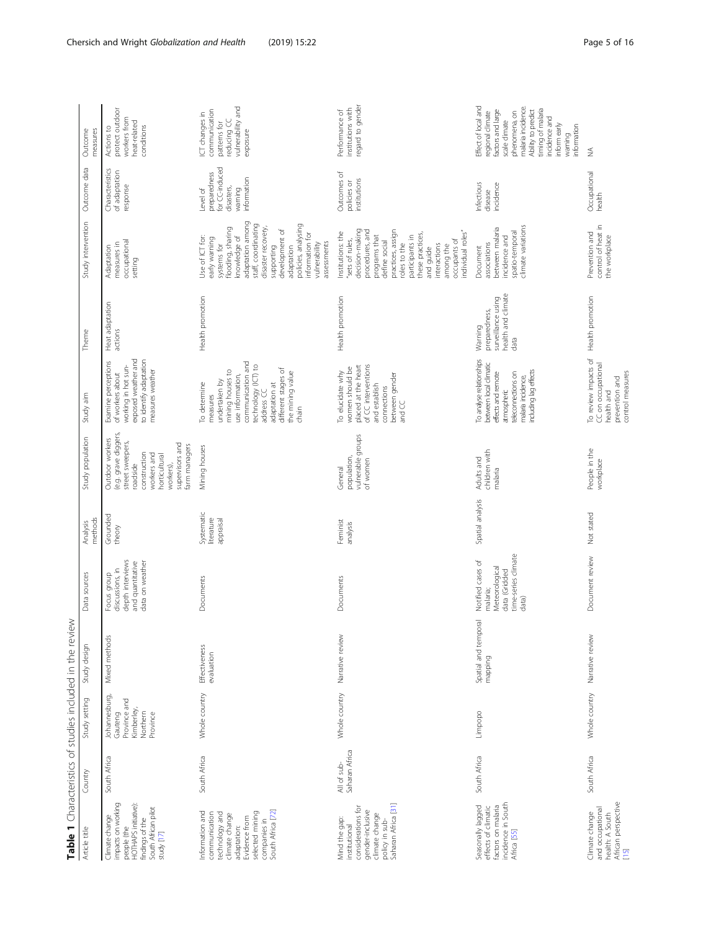<span id="page-4-0"></span>

|                                                                                                                                                              |                               |                                                                                | Table 1 Characteristics of studies included in the review |                                                                                                  |                                       |                                                                                                                                                                          |                                                                                                                                                                                                                  |                                                                              |                                                                                                                                                                                                                                                                               |                                                                                    |                                                                                                                                                                                                                         |
|--------------------------------------------------------------------------------------------------------------------------------------------------------------|-------------------------------|--------------------------------------------------------------------------------|-----------------------------------------------------------|--------------------------------------------------------------------------------------------------|---------------------------------------|--------------------------------------------------------------------------------------------------------------------------------------------------------------------------|------------------------------------------------------------------------------------------------------------------------------------------------------------------------------------------------------------------|------------------------------------------------------------------------------|-------------------------------------------------------------------------------------------------------------------------------------------------------------------------------------------------------------------------------------------------------------------------------|------------------------------------------------------------------------------------|-------------------------------------------------------------------------------------------------------------------------------------------------------------------------------------------------------------------------|
| Article title                                                                                                                                                | Country                       | Study setting                                                                  | Study design                                              | Data sources                                                                                     | methods<br>Analysis                   | Study population                                                                                                                                                         | Study aim                                                                                                                                                                                                        | Theme                                                                        | Study intervention                                                                                                                                                                                                                                                            | Outcome data                                                                       | measures<br>Outcome                                                                                                                                                                                                     |
| impacts on working<br>HOTHAPS initiative):<br>South African pilot<br>Climate change<br>findings of the<br>people (the<br>study [17]                          | South Africa                  | Johannesburg,<br>Province and<br>Kimberley,<br>Northern<br>Gauteng<br>Province | Mixed methods                                             | depth interviews<br>data on weather<br>and quantitative<br>discussions, in<br>Focus group        | Grounded<br>theory                    | le.g. grave diggers,<br>Outdoor workers<br>street sweepers,<br>supervisors and<br>farm managers<br>construction<br>workers and<br>horticultural<br>roadside<br>workers), | exposed weather and<br>to identify adaptation<br>Examine perceptions<br>working in hot sun-<br>measures weather<br>of workers about                                                                              | Heat adaptation<br>actions                                                   | occupational<br>measures in<br>Adaptation<br>setting                                                                                                                                                                                                                          | Characteristics<br>of adaptation<br>response                                       | protect outdoor<br>workers from<br>heat-related<br>conditions<br>Actions to                                                                                                                                             |
| South Africa [72]<br>Information and<br>selected mining<br>technology and<br>communication<br>climate change<br>Evidence from<br>companies in<br>adaptation: | South Africa                  | Whole country                                                                  | <b>Effectiveness</b><br>evaluation                        | Documents                                                                                        | Systematic<br>literature<br>appraisal | Mining houses                                                                                                                                                            | communication and<br>technology (ICT) to<br>address CC<br>different stages of<br>mining houses to<br>the mining value<br>use information,<br>undertaken by<br>To determine<br>adaptation at<br>measures<br>chain | Health promotion                                                             | adaptation among<br>staff, coordinating<br>policies, analysing<br>flooding, sharing<br>disaster recovery,<br>development of<br>information for<br>Use of ICT for:<br>knowledge of<br>early warning<br>assessments<br>vulnerability<br>systems for<br>supporting<br>adaptation | for CC-induced<br>preparedness<br>information<br>disasters,<br>Level of<br>warning | vulnerability and<br>communication<br>ICT changes in<br>reducing CC<br>patterns for<br>exposure                                                                                                                         |
| policy in sub-<br>Saharan Africa [31]<br>considerations for<br>gender-inclusive<br>dimate change<br>Mind the gap:<br>institutional                           | Saharan Africa<br>All of sub- | Whole country                                                                  | Narrative review                                          | Documents                                                                                        | Feminist<br>analysis                  | vulnerable groups<br>population,<br>of women<br>General                                                                                                                  | of CC interventions<br>placed at the heart<br>women should be<br>To elucidate why<br>between gender<br>and establish<br>connections<br>and CC                                                                    | Health promotion                                                             | decision-making<br>practices, assign<br>procedures, and<br>Institutions: the<br>individual roles"<br>these practices,<br>programs that<br>participants in<br>sets of rules,<br>occupants of<br>define social<br>roles to the<br>interactions<br>among the<br>and guide        | Outcomes of<br>institutions<br>policies or                                         | regard to gender<br>institutions with<br>Performance of                                                                                                                                                                 |
| incidence in South<br>Seasonally lagged<br>factors on malaria<br>effects of dimatic<br>Africa [55]                                                           | South Africa                  | Limpopo                                                                        | Spatial and tempora<br>mapping                            | time-series climate<br>Notified cases of<br>Veteorological<br>data (Gridded<br>malaria;<br>data) | Spatial analysis                      | children with<br>Adults and<br>malaria                                                                                                                                   | To analyse relationships<br>between local climatic<br>including lag effects<br>effects and remote<br>teleconnections on<br>malaria incidence,<br>atmospheric                                                     | health and climate<br>surveillance using<br>preparedness,<br>Warning<br>data | climate variations<br>between malaria<br>spatio-temporal<br>incidence and<br>associations<br>Document                                                                                                                                                                         | Infectious<br>incidence<br>disease                                                 | Effect of local and<br>malaria incidence<br>timing of malaria<br>factors and large<br>Ability to predict<br>phenomena, on<br>regional dimate<br>incidence and<br>scale climate<br>inform early<br>information<br>waming |
| African perspective<br>[15]<br>and occupational<br>Climate change<br>health: A South                                                                         | South Africa                  | Whole country                                                                  | Narrative review                                          | Document review                                                                                  | Not stated                            | People in the<br>workplace                                                                                                                                               | To review impacts of<br>CC on occupational<br>control measures<br>prevention and<br>health and                                                                                                                   | Health promotion                                                             | control of heat in<br>Prevention and<br>the workplace                                                                                                                                                                                                                         | Occupational<br>health                                                             | ₹                                                                                                                                                                                                                       |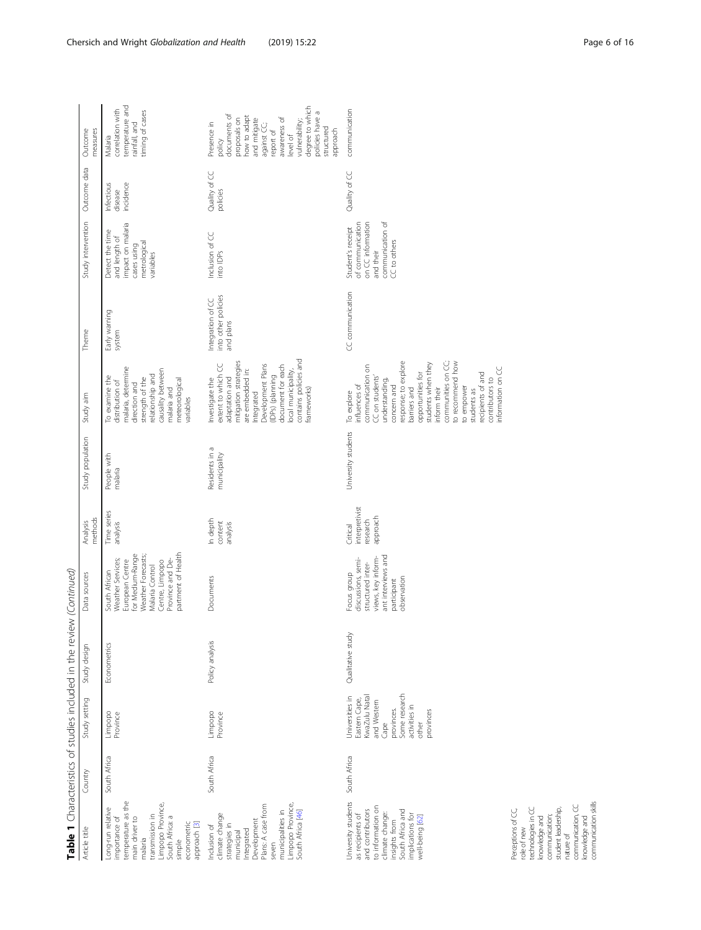|                                                                                                                                                                                              |              |                                                                                                                                                | Table 1 Characteristics of studies included in the review (Continued) |                                                                                                                                                                                 |                                                    |                                |                                                                                                                                                                                                                                                                                                                                            |                                                       |                                                                                                             |                                    |                                                                                                                                                                                                                                 |
|----------------------------------------------------------------------------------------------------------------------------------------------------------------------------------------------|--------------|------------------------------------------------------------------------------------------------------------------------------------------------|-----------------------------------------------------------------------|---------------------------------------------------------------------------------------------------------------------------------------------------------------------------------|----------------------------------------------------|--------------------------------|--------------------------------------------------------------------------------------------------------------------------------------------------------------------------------------------------------------------------------------------------------------------------------------------------------------------------------------------|-------------------------------------------------------|-------------------------------------------------------------------------------------------------------------|------------------------------------|---------------------------------------------------------------------------------------------------------------------------------------------------------------------------------------------------------------------------------|
| Article title                                                                                                                                                                                | Country      | Study setting                                                                                                                                  | Study design                                                          | Data sources                                                                                                                                                                    | methods<br>Analysis                                | Study population               | Study aim                                                                                                                                                                                                                                                                                                                                  | Theme                                                 | Study intervention                                                                                          | Outcome data                       | Outcome<br>measures                                                                                                                                                                                                             |
| temperature as the<br>Limpopo Province,<br>Long-run relative<br>transmission in<br>South Africa: a<br>importance of<br>main driver to<br>econometric<br>approach [3]<br>malaria<br>simple    | South Africa | Limpopo<br>Province                                                                                                                            | Econometrics                                                          | partment of Health<br>for Medium-Range<br>Weather Forecasts;<br>Weather Services;<br>Province and De-<br>Centre, Limpopo<br>European Centre<br>Malaria Control<br>South African | Time series<br>analysis                            | People with<br>malaria         | malaria, determine<br>causality between<br>relationship and<br>To examine the<br>strength of the<br>meteorological<br>distribution of<br>direction and<br>malaria and<br>variables                                                                                                                                                         | Early warning<br>system                               | impact on malaria<br>Detect the time<br>and length of<br>metrological<br>cases using<br>variables           | Infectious<br>incidence<br>disease | temperature and<br>correlation with<br>timing of cases<br>rainfall, and<br>Malaria                                                                                                                                              |
| Limpopo Province,<br>Plans: A case from<br>South Africa [46]<br>municipalities in<br>dimate change<br>Development<br>strategies in<br>Inclusion of<br>Integrated<br>municipal<br>seven       | South Africa | Limpopo<br>Province                                                                                                                            | Policy analysis                                                       | Documents                                                                                                                                                                       | In depth<br>content<br>analysis                    | Residents in a<br>municipality | contains policies and<br>mitigation strategies<br>Development Plans<br>extent to which CC<br>document for each<br>are embedded in:<br>local municipality,<br>(IDPs) (planning<br>adaptation and<br>Investigate the<br>frameworks)<br>Integrated                                                                                            | into other policies<br>Integration of CC<br>and plans | Inclusion of CC<br>into IDPs                                                                                | Quality of CC<br>policies          | degree to which<br>policies have a<br>documents of<br>how to adapt<br>awareness of<br>proposals on<br>and mitigate<br>vulnerability;<br>Presence in<br>against CC;<br>structured<br>approach<br>report of<br>level of<br>policy |
| University students<br>to information or<br>and contributors<br>South Africa and<br>dimate change:<br>implications for<br>as recipients of<br>well-being [62]<br>insights from               | South Africa | Some research<br>Universities in<br>KwaZulu Natal<br>Eastern Cape,<br>and Western<br>activities in<br>provinces.<br>provinces<br>other<br>Cape | Qualitative study                                                     | ant interviews and<br>views, key inform-<br>discussions, semi-<br>structured inter-<br>Focus group<br>observation<br>participant                                                | interpretivist<br>approach<br>research<br>Critical | University students            | response; to explore<br>communities on CC;<br>to recommend how<br>students when they<br>communication on<br>information on CC<br>opportunities for<br>recipients of and<br>CC on students'<br>contributors to<br>understanding,<br>influences of<br>concern and<br>to empower<br>inform their<br>barriers and<br>students as<br>To explore | CC communication                                      | communication of<br>of communication<br>on CC information<br>Student's receipt<br>CC to others<br>and their | Quality of CC                      | communication                                                                                                                                                                                                                   |
| communication skills<br>communication, CC<br>technologies in CC<br>student leadership,<br>Perceptions of CC,<br>communication;<br>knowledge and<br>knowledge and<br>role of new<br>nature of |              |                                                                                                                                                |                                                                       |                                                                                                                                                                                 |                                                    |                                |                                                                                                                                                                                                                                                                                                                                            |                                                       |                                                                                                             |                                    |                                                                                                                                                                                                                                 |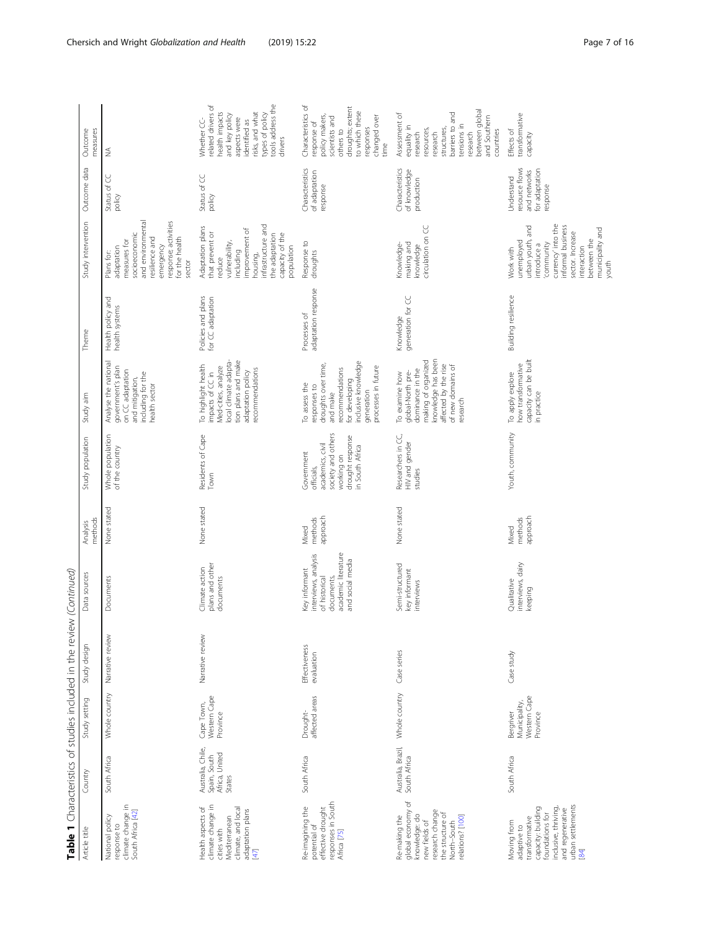| Article title                                                                                                  |                                                               |                                                        | Table 1 Characteristics of studies included in the review (Continued) |                                                                                                                 |                              |                                                                                                                         |                                                                                                                                                                   |                                         |                                                                                                                                                                                                   |                                                                            |                                                                                                                                                                                |
|----------------------------------------------------------------------------------------------------------------|---------------------------------------------------------------|--------------------------------------------------------|-----------------------------------------------------------------------|-----------------------------------------------------------------------------------------------------------------|------------------------------|-------------------------------------------------------------------------------------------------------------------------|-------------------------------------------------------------------------------------------------------------------------------------------------------------------|-----------------------------------------|---------------------------------------------------------------------------------------------------------------------------------------------------------------------------------------------------|----------------------------------------------------------------------------|--------------------------------------------------------------------------------------------------------------------------------------------------------------------------------|
|                                                                                                                | Country                                                       | Study setting                                          | Study design                                                          | Data sources                                                                                                    | methods<br>Analysis          | Study population                                                                                                        | Study aim                                                                                                                                                         | Theme                                   | Study intervention                                                                                                                                                                                | Outcome data                                                               | Outcome<br>measures                                                                                                                                                            |
| dimate change in<br>South Africa [42]                                                                          | South Africa                                                  | Whole country                                          | Narrative review                                                      | Documents                                                                                                       | None stated                  | Whole population<br>of the country                                                                                      | Analyse the national<br>government's plan<br>on CC adaptation<br>including for the<br>and mitigation,<br>health sector                                            | Health policy and<br>health systems     | and environmental<br>response; activities<br>socioeconomic<br>resilience and<br>for the health<br>measures for<br>emergency<br>adaptation<br>Plans for:<br>sector                                 | Status of CC<br>policy                                                     | ₹                                                                                                                                                                              |
| climate change in<br>Health aspects of<br>climate, and local<br>adaptation plans                               | Australia, Chile,<br>Africa, United<br>Spain, South<br>States | Western Cape<br>Cape Town,<br>Province                 | Narrative review                                                      | plans and other<br>Climate action<br>documents                                                                  | None stated                  | Residents of Cape<br>Town                                                                                               | tion plans and make<br>local climate adapta-<br>To highlight health<br>Med-cities, analyze<br>recommendations<br>adaptation policy<br>impacts of CC in            | Policies and plans<br>for CC adaptation | nfrastructure and<br>Adaptation plans<br>improvement of<br>that prevent or<br>capacity of the<br>the adaptation<br>vulnerability,<br>population<br>including<br>nousing,<br>reduce                | Status of CC<br>policy                                                     | tools address the<br>related drivers of<br>health impacts<br>risks, and what<br>types of policy<br>and key policy<br>aspects were<br>Whether CC-<br>identified as<br>drivers   |
| responses in South<br>Re-imagining the<br>effective drought                                                    | South Africa                                                  | affected areas<br>Drought-                             | Effectiveness<br>evaluation                                           | academic literature<br>interviews, analysis<br>and social media<br>Key informant<br>of historical<br>documents, | approach<br>methods<br>Mixed | society and others<br>working on<br>drought response<br>in South Africa<br>academics, civil<br>Government<br>officials, | inclusive knowledge<br>droughts over time,<br>and make<br>processes in future<br>recommendations<br>for developing<br>To assess the<br>responses to<br>generation | adaptation response<br>Processes of     | Response to<br>droughts                                                                                                                                                                           | Characteristics<br>of adaptation<br>response                               | Characteristics of<br>droughts; extent<br>to which these<br>policy makers,<br>scientists and<br>changed over<br>response of<br>responses<br>others to<br>time                  |
| global economy of<br>research change<br>the structure of<br>knowledge: do<br>Re-making the<br>relations? [100] | Australia, Brazil,<br>South Africa                            | Whole country                                          | Case series                                                           | Semi-structured<br>key informant<br>interviews                                                                  | None stated                  | Researchers in CC,<br>HIV and gender<br>studies                                                                         | knowledge has been<br>affected by the rise<br>making of organized<br>of new domains of<br>dominance in the<br>global-North pre-<br>To examine how<br>research     | generation for CC<br>Knowledge          | circulation on CC<br>making and<br>Knowledge-<br>knowledge                                                                                                                                        | Characteristics<br>of knowledge<br>production                              | between global<br>barriers to and<br>Assessment of<br>and Southern<br>tensions in<br>equality in<br>structures,<br>resources,<br>countries<br>research<br>research<br>research |
| urban settlements<br>inclusive, thriving,<br>capacity: building<br>and regenerative<br>foundations for         | South Africa                                                  | Western Cape<br>Municipality,<br>Bergriver<br>Province | Case study                                                            | interviews, dairy<br>Qualitative<br>keeping                                                                     | approach<br>methods<br>Mixed | Youth, community                                                                                                        | capacity can be built<br>how transformative<br>To apply explore<br>in practice                                                                                    | Building resilience                     | currency' into the<br>urban youth, and<br>informal business<br>municipality and<br>youth<br>sector. Increase<br>between the<br>unemployed<br>introduce a<br>community<br>interaction<br>Work with | resource flows<br>for adaptation<br>and networks<br>Understand<br>response | transformative<br>Effects of<br>capacity                                                                                                                                       |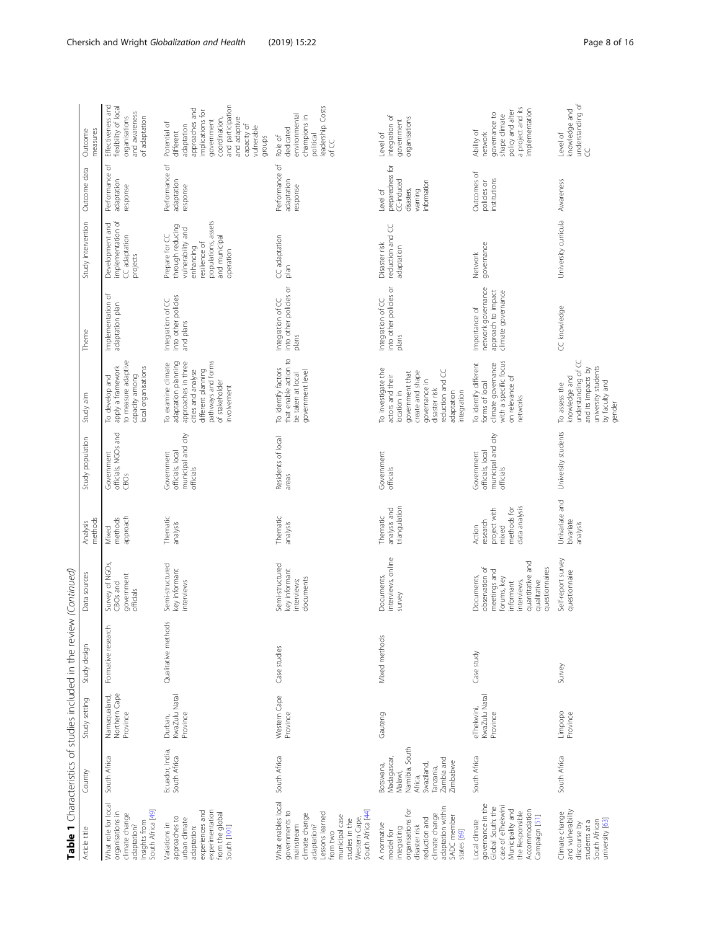|                                                                                                                                                                                            |                                                                                                                       |                                           | Table 1 Characteristics of studies included in the review (Continued) |                                                                                                                                              |                                                                             |                                                                   |                                                                                                                                                                                 |                                                                                 |                                                                                                                                            |                                                                                    |                                                                                                                                                                                          |
|--------------------------------------------------------------------------------------------------------------------------------------------------------------------------------------------|-----------------------------------------------------------------------------------------------------------------------|-------------------------------------------|-----------------------------------------------------------------------|----------------------------------------------------------------------------------------------------------------------------------------------|-----------------------------------------------------------------------------|-------------------------------------------------------------------|---------------------------------------------------------------------------------------------------------------------------------------------------------------------------------|---------------------------------------------------------------------------------|--------------------------------------------------------------------------------------------------------------------------------------------|------------------------------------------------------------------------------------|------------------------------------------------------------------------------------------------------------------------------------------------------------------------------------------|
| Article title                                                                                                                                                                              | Country                                                                                                               | Study setting                             | Study design                                                          | Data sources                                                                                                                                 | methods<br>Analysis                                                         | Study population                                                  | Study aim                                                                                                                                                                       | Theme                                                                           | Study intervention                                                                                                                         | Outcome data                                                                       | Outcome<br>measures                                                                                                                                                                      |
| What role for local<br>South Africa [49]<br>organisations in<br>dimate change<br>Insights from<br>adaptation?                                                                              | South Africa                                                                                                          | Northern Cape<br>Namaqualand,<br>Province | Formative researc                                                     | Survey of NGO <sub>S</sub> ,<br>government<br>CBOs and<br>officials                                                                          | approach<br>methods<br>Mixed                                                | officials, NGOs and<br>Government<br>CBO <sub>s</sub>             | to measure adaptive<br>apply a framework<br>local organisations<br>capacity among<br>To develop and                                                                             | Implementation of<br>adaptation plan                                            | implementation of<br>Development and<br>CC adaptation<br>projects                                                                          | Performance of<br>adaptation<br>response                                           | Effectiveness and<br>flexibility of local<br>organisations<br>and awareness<br>of adaptation                                                                                             |
| experiences and<br>experimentation<br>from the global<br>approaches to<br>urban climate<br>Variations in<br>adaptation:<br>South [101]                                                     | Ecuador, India,<br>South Africa                                                                                       | KwaZulu Natal<br>Province<br>Durban,      | Qualitative methods                                                   | Semi-structured<br>key informant<br>interviews                                                                                               | Thematic<br>analysis                                                        | municipal and city<br>officials, local<br>Government<br>officials | pathways and forms<br>adaptation planning<br>approaches in three<br>To examine climate<br>different planning<br>cities and analyse<br>of stakeholder<br>involvement             | into other policies<br>Integration of CC<br>and plans                           | populations, assets<br>through reducing<br>vulnerability and<br>Prepare for CC<br>and municipal<br>resilience of<br>enhancing<br>operation | Performance of<br>adaptation<br>response                                           | and participation<br>approaches and<br>implications for<br>and adaptive<br>coordination,<br>government<br>Potential of<br>capacity of<br>adaptation<br>vulnerable<br>different<br>groups |
| What enables local<br>governments to<br>South Africa [44]<br>Lessons learned<br>dimate change<br>municipal case<br>studies in the<br>Western Cape<br>mainstream<br>adaptation?<br>from two | South Africa                                                                                                          | Western Cape<br>Province                  | Case studies                                                          | Semi-structured<br>key informant<br>documents<br>interviews;                                                                                 | Thematic<br>analysis                                                        | Residents of local<br>areas                                       | that enable action to<br>To identify factors<br>government level<br>be taken at local                                                                                           | into other policies or<br>Integration of CC<br>plans                            | CC adaptation<br>plan                                                                                                                      | Performance of<br>adaptation<br>response                                           | leadership. Costs<br>environmental<br>champions in<br>dedicated<br>political<br>Role of<br>of CC                                                                                         |
| adaptation within<br>organisations for<br>dimate change<br>SADC member<br>reduction and<br>A normative<br>disaster risk<br>integrating<br>states [69]<br>model for                         | Namibia, South<br>Madagascar,<br>Zambia and<br>Zimbabwe<br>Swaziland,<br>Botswana,<br>Tanzania,<br>Malawi,<br>Africa, | Gauteng                                   | Mixed methods                                                         | interviews, online<br><b>Documents</b><br>survey                                                                                             | triangulation<br>analysis and<br>Thematic                                   | Government<br>officials                                           | To investigate the<br>reduction and CC<br>create and shape<br>government that<br>actors and their<br>governance in<br>disaster risk<br>integration<br>adaptation<br>location in | into other policies or<br>Integration of CC<br>plans                            | reduction and CC<br>Disaster risk<br>adaptation                                                                                            | preparedness for<br>CC-induced<br>information<br>disasters,<br>Level of<br>warning | integration of<br>organisations<br>government<br>Level of                                                                                                                                |
| governance in the<br>case of eThekwini<br>Global South: the<br>Accommodation<br>Municipality and<br>the Responsible<br>Campaign [51]<br>Local climate                                      | South Africa                                                                                                          | KwaZulu Natal<br>eThekwini,<br>Province   | Case study                                                            | quantitative and<br>questionnaires<br>observation of<br>meetings and<br>Documents,<br>forums, key<br>interviews,<br>qualitative<br>informant | data analysis<br>methods for<br>project with<br>research<br>Action<br>mixed | municipal and city<br>officials, local<br>Government<br>officials | with a specific focus<br>To identify different<br>climate governance<br>on relevance of<br>forms of local<br>networks                                                           | network governance<br>approach to impact<br>climate governance<br>Importance of | governance<br>Network                                                                                                                      | Outcomes of<br>institutions<br>policies or                                         | a project and its<br>implementation<br>policy and alter<br>governance to<br>shape dimate<br>Ability of<br>network                                                                        |
| and vulnerability<br>Climate change<br>university [63]<br>students at a<br>South African<br>discourse by                                                                                   | South Africa                                                                                                          | Limpopo<br>Province                       | Survey                                                                | Self-report survey<br>questionnaire                                                                                                          | Univariate and<br>bivariate<br>analysis                                     | University students                                               | understanding of CC<br>university students<br>and its impacts by<br>knowledge and<br>by faculty and<br>To assess the<br>gender                                                  | CC knowledge                                                                    | University curricula                                                                                                                       | Awareness                                                                          | understanding of<br>CC<br>knowledge and<br>Level of                                                                                                                                      |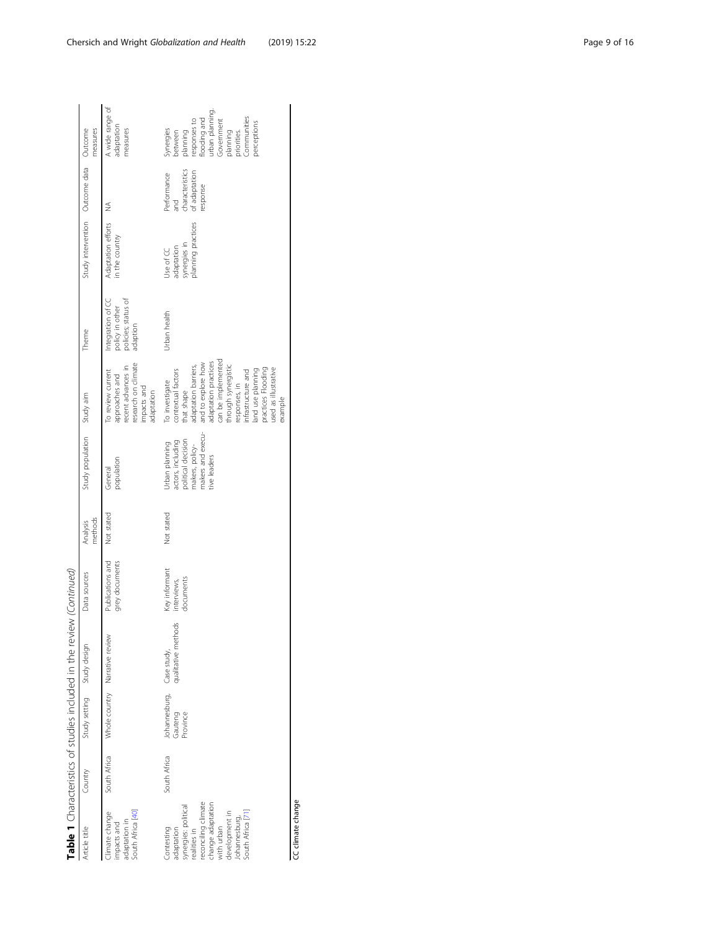|                                                                                                                                                                                   |              |                                                  | Table 1 Characteristics of studies included in the review (Continued) |                                           |                     |                                                                                                                   |                                                                                                                                                                                                                                                                                          |                                                                         |                                                               |                                                                    |                                                                                                                                                                |
|-----------------------------------------------------------------------------------------------------------------------------------------------------------------------------------|--------------|--------------------------------------------------|-----------------------------------------------------------------------|-------------------------------------------|---------------------|-------------------------------------------------------------------------------------------------------------------|------------------------------------------------------------------------------------------------------------------------------------------------------------------------------------------------------------------------------------------------------------------------------------------|-------------------------------------------------------------------------|---------------------------------------------------------------|--------------------------------------------------------------------|----------------------------------------------------------------------------------------------------------------------------------------------------------------|
| Article title                                                                                                                                                                     | Country      | Study setting Study design                       |                                                                       | Data sources                              | methods<br>Analysis | Study population Study aim                                                                                        |                                                                                                                                                                                                                                                                                          | Theme                                                                   | Study intervention Outcome data Outcome                       |                                                                    | measures                                                                                                                                                       |
| South Africa [40]<br>Climate change<br>adaptation in<br>impacts and                                                                                                               | South Africa |                                                  | Whole country Narrative review                                        | Publications and<br>grey documents        | Not stated          | population<br>General                                                                                             | research on climate<br>recent advances in<br>To review current<br>approaches and<br>impacts and<br>adaptation                                                                                                                                                                            | policy in other<br>policies; status of<br>Integration of CC<br>adaption | Adaptation efforts<br>in the country                          | ≸                                                                  | A wide range of<br>adaptation<br>measures                                                                                                                      |
| reconciling climate<br>change adaptation<br>synergies: political<br>South Africa [71]<br>development in<br>ohannesburg,<br>with urban<br>Contesting<br>adaptation<br>realities in | South Africa | Johannesburg, Case study,<br>Gauteng<br>Province | qualitative methods                                                   | Key informant<br>documents<br>interviews, | Not stated          | makers and execu-<br>actors, including<br>political decision<br>Urban planning<br>makers, policy-<br>tive leaders | can be implemented<br>adaptation practices<br>and to explore how<br>adaptation barriers,<br>through synergistic<br>used as illustrative<br>contextual factors<br>practices Flooding<br>land use planning<br>nfrastructure and<br>To investigate<br>esponses, in<br>that shape<br>example | Urban health                                                            | planning practices<br>synergies in<br>adaptation<br>Use of CC | characteristics<br>of adaptation<br>Performance<br>response<br>and | urban planning<br><b>Communities</b><br>looding and<br>esponses to<br>Government<br>perceptions<br>synergies<br>prinnalc<br>planning<br>priorities.<br>between |

CC climate change CC climate change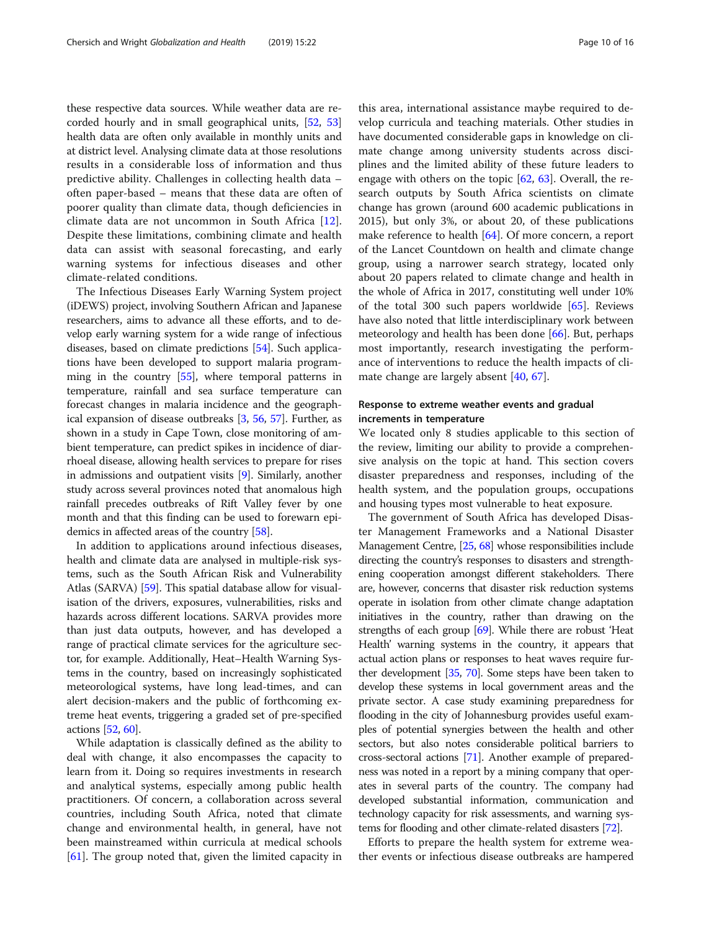these respective data sources. While weather data are recorded hourly and in small geographical units, [\[52](#page-14-0), [53](#page-14-0)] health data are often only available in monthly units and at district level. Analysing climate data at those resolutions results in a considerable loss of information and thus predictive ability. Challenges in collecting health data – often paper-based – means that these data are often of poorer quality than climate data, though deficiencies in climate data are not uncommon in South Africa [\[12](#page-13-0)]. Despite these limitations, combining climate and health data can assist with seasonal forecasting, and early warning systems for infectious diseases and other climate-related conditions.

The Infectious Diseases Early Warning System project (iDEWS) project, involving Southern African and Japanese researchers, aims to advance all these efforts, and to develop early warning system for a wide range of infectious diseases, based on climate predictions [\[54](#page-14-0)]. Such applications have been developed to support malaria programming in the country [\[55](#page-14-0)], where temporal patterns in temperature, rainfall and sea surface temperature can forecast changes in malaria incidence and the geographical expansion of disease outbreaks [[3](#page-13-0), [56](#page-14-0), [57](#page-14-0)]. Further, as shown in a study in Cape Town, close monitoring of ambient temperature, can predict spikes in incidence of diarrhoeal disease, allowing health services to prepare for rises in admissions and outpatient visits [\[9](#page-13-0)]. Similarly, another study across several provinces noted that anomalous high rainfall precedes outbreaks of Rift Valley fever by one month and that this finding can be used to forewarn epidemics in affected areas of the country [[58](#page-14-0)].

In addition to applications around infectious diseases, health and climate data are analysed in multiple-risk systems, such as the South African Risk and Vulnerability Atlas (SARVA) [[59](#page-14-0)]. This spatial database allow for visualisation of the drivers, exposures, vulnerabilities, risks and hazards across different locations. SARVA provides more than just data outputs, however, and has developed a range of practical climate services for the agriculture sector, for example. Additionally, Heat–Health Warning Systems in the country, based on increasingly sophisticated meteorological systems, have long lead-times, and can alert decision-makers and the public of forthcoming extreme heat events, triggering a graded set of pre-specified actions [[52](#page-14-0), [60\]](#page-14-0).

While adaptation is classically defined as the ability to deal with change, it also encompasses the capacity to learn from it. Doing so requires investments in research and analytical systems, especially among public health practitioners. Of concern, a collaboration across several countries, including South Africa, noted that climate change and environmental health, in general, have not been mainstreamed within curricula at medical schools [[61\]](#page-14-0). The group noted that, given the limited capacity in

this area, international assistance maybe required to develop curricula and teaching materials. Other studies in have documented considerable gaps in knowledge on climate change among university students across disciplines and the limited ability of these future leaders to engage with others on the topic  $[62, 63]$  $[62, 63]$  $[62, 63]$  $[62, 63]$ . Overall, the research outputs by South Africa scientists on climate change has grown (around 600 academic publications in 2015), but only 3%, or about 20, of these publications make reference to health [\[64](#page-14-0)]. Of more concern, a report of the Lancet Countdown on health and climate change group, using a narrower search strategy, located only about 20 papers related to climate change and health in the whole of Africa in 2017, constituting well under 10% of the total 300 such papers worldwide [[65](#page-14-0)]. Reviews have also noted that little interdisciplinary work between meteorology and health has been done [\[66\]](#page-14-0). But, perhaps most importantly, research investigating the performance of interventions to reduce the health impacts of climate change are largely absent [[40,](#page-14-0) [67\]](#page-14-0).

# Response to extreme weather events and gradual increments in temperature

We located only 8 studies applicable to this section of the review, limiting our ability to provide a comprehensive analysis on the topic at hand. This section covers disaster preparedness and responses, including of the health system, and the population groups, occupations and housing types most vulnerable to heat exposure.

The government of South Africa has developed Disaster Management Frameworks and a National Disaster Management Centre, [\[25,](#page-13-0) [68\]](#page-14-0) whose responsibilities include directing the country's responses to disasters and strengthening cooperation amongst different stakeholders. There are, however, concerns that disaster risk reduction systems operate in isolation from other climate change adaptation initiatives in the country, rather than drawing on the strengths of each group [[69\]](#page-14-0). While there are robust 'Heat Health' warning systems in the country, it appears that actual action plans or responses to heat waves require further development [\[35,](#page-13-0) [70](#page-14-0)]. Some steps have been taken to develop these systems in local government areas and the private sector. A case study examining preparedness for flooding in the city of Johannesburg provides useful examples of potential synergies between the health and other sectors, but also notes considerable political barriers to cross-sectoral actions [[71](#page-14-0)]. Another example of preparedness was noted in a report by a mining company that operates in several parts of the country. The company had developed substantial information, communication and technology capacity for risk assessments, and warning systems for flooding and other climate-related disasters [[72](#page-14-0)].

Efforts to prepare the health system for extreme weather events or infectious disease outbreaks are hampered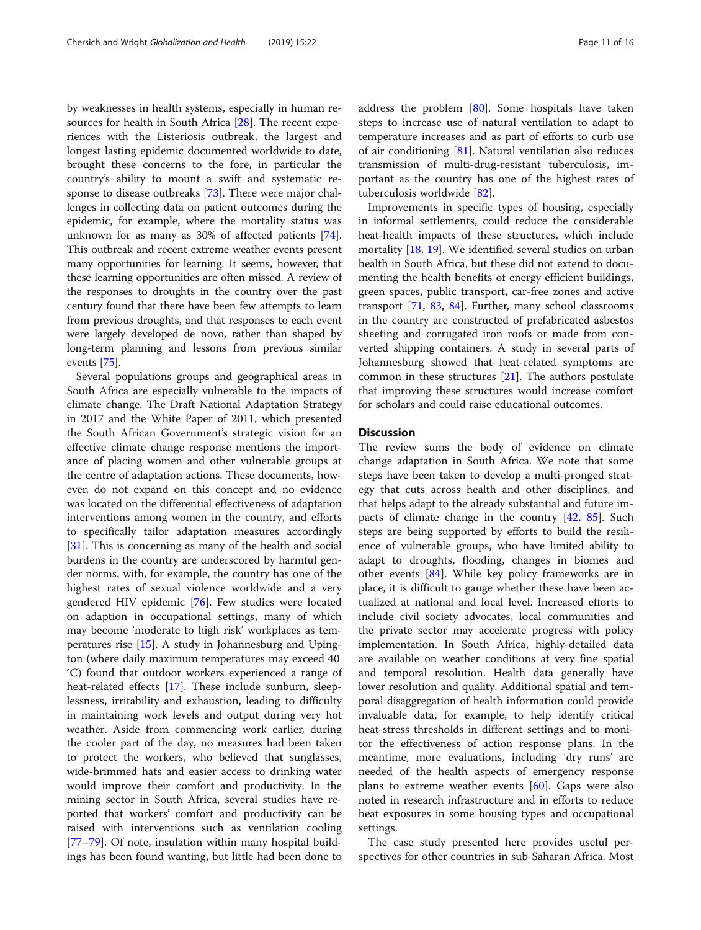by weaknesses in health systems, especially in human re-sources for health in South Africa [\[28\]](#page-13-0). The recent experiences with the Listeriosis outbreak, the largest and longest lasting epidemic documented worldwide to date, brought these concerns to the fore, in particular the country's ability to mount a swift and systematic response to disease outbreaks [\[73\]](#page-14-0). There were major challenges in collecting data on patient outcomes during the epidemic, for example, where the mortality status was unknown for as many as 30% of affected patients [\[74](#page-14-0)]. This outbreak and recent extreme weather events present many opportunities for learning. It seems, however, that these learning opportunities are often missed. A review of the responses to droughts in the country over the past century found that there have been few attempts to learn from previous droughts, and that responses to each event were largely developed de novo, rather than shaped by long-term planning and lessons from previous similar events [[75](#page-14-0)].

Several populations groups and geographical areas in South Africa are especially vulnerable to the impacts of climate change. The Draft National Adaptation Strategy in 2017 and the White Paper of 2011, which presented the South African Government's strategic vision for an effective climate change response mentions the importance of placing women and other vulnerable groups at the centre of adaptation actions. These documents, however, do not expand on this concept and no evidence was located on the differential effectiveness of adaptation interventions among women in the country, and efforts to specifically tailor adaptation measures accordingly [[31\]](#page-13-0). This is concerning as many of the health and social burdens in the country are underscored by harmful gender norms, with, for example, the country has one of the highest rates of sexual violence worldwide and a very gendered HIV epidemic [[76\]](#page-14-0). Few studies were located on adaption in occupational settings, many of which may become 'moderate to high risk' workplaces as temperatures rise [[15\]](#page-13-0). A study in Johannesburg and Upington (where daily maximum temperatures may exceed 40 °C) found that outdoor workers experienced a range of heat-related effects [\[17](#page-13-0)]. These include sunburn, sleeplessness, irritability and exhaustion, leading to difficulty in maintaining work levels and output during very hot weather. Aside from commencing work earlier, during the cooler part of the day, no measures had been taken to protect the workers, who believed that sunglasses, wide-brimmed hats and easier access to drinking water would improve their comfort and productivity. In the mining sector in South Africa, several studies have reported that workers' comfort and productivity can be raised with interventions such as ventilation cooling [[77](#page-14-0)–[79](#page-14-0)]. Of note, insulation within many hospital buildings has been found wanting, but little had been done to address the problem [[80\]](#page-14-0). Some hospitals have taken steps to increase use of natural ventilation to adapt to temperature increases and as part of efforts to curb use of air conditioning [\[81](#page-14-0)]. Natural ventilation also reduces transmission of multi-drug-resistant tuberculosis, important as the country has one of the highest rates of tuberculosis worldwide [\[82](#page-14-0)].

Improvements in specific types of housing, especially in informal settlements, could reduce the considerable heat-health impacts of these structures, which include mortality [\[18,](#page-13-0) [19\]](#page-13-0). We identified several studies on urban health in South Africa, but these did not extend to documenting the health benefits of energy efficient buildings, green spaces, public transport, car-free zones and active transport [[71](#page-14-0), [83](#page-14-0), [84](#page-14-0)]. Further, many school classrooms in the country are constructed of prefabricated asbestos sheeting and corrugated iron roofs or made from converted shipping containers. A study in several parts of Johannesburg showed that heat-related symptoms are common in these structures [[21](#page-13-0)]. The authors postulate that improving these structures would increase comfort for scholars and could raise educational outcomes.

# Discussion

The review sums the body of evidence on climate change adaptation in South Africa. We note that some steps have been taken to develop a multi-pronged strategy that cuts across health and other disciplines, and that helps adapt to the already substantial and future impacts of climate change in the country [[42,](#page-14-0) [85](#page-14-0)]. Such steps are being supported by efforts to build the resilience of vulnerable groups, who have limited ability to adapt to droughts, flooding, changes in biomes and other events [[84\]](#page-14-0). While key policy frameworks are in place, it is difficult to gauge whether these have been actualized at national and local level. Increased efforts to include civil society advocates, local communities and the private sector may accelerate progress with policy implementation. In South Africa, highly-detailed data are available on weather conditions at very fine spatial and temporal resolution. Health data generally have lower resolution and quality. Additional spatial and temporal disaggregation of health information could provide invaluable data, for example, to help identify critical heat-stress thresholds in different settings and to monitor the effectiveness of action response plans. In the meantime, more evaluations, including 'dry runs' are needed of the health aspects of emergency response plans to extreme weather events  $[60]$ . Gaps were also noted in research infrastructure and in efforts to reduce heat exposures in some housing types and occupational settings.

The case study presented here provides useful perspectives for other countries in sub-Saharan Africa. Most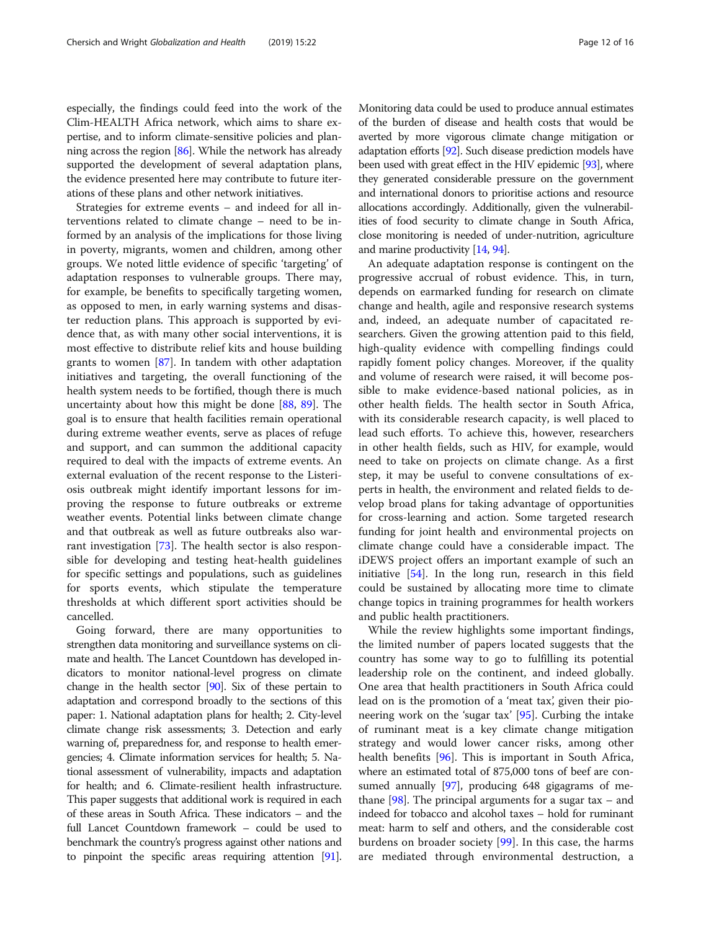especially, the findings could feed into the work of the Clim-HEALTH Africa network, which aims to share expertise, and to inform climate-sensitive policies and planning across the region [[86](#page-14-0)]. While the network has already supported the development of several adaptation plans, the evidence presented here may contribute to future iterations of these plans and other network initiatives.

Strategies for extreme events – and indeed for all interventions related to climate change – need to be informed by an analysis of the implications for those living in poverty, migrants, women and children, among other groups. We noted little evidence of specific 'targeting' of adaptation responses to vulnerable groups. There may, for example, be benefits to specifically targeting women, as opposed to men, in early warning systems and disaster reduction plans. This approach is supported by evidence that, as with many other social interventions, it is most effective to distribute relief kits and house building grants to women  $[87]$  $[87]$  $[87]$ . In tandem with other adaptation initiatives and targeting, the overall functioning of the health system needs to be fortified, though there is much uncertainty about how this might be done [\[88,](#page-14-0) [89](#page-15-0)]. The goal is to ensure that health facilities remain operational during extreme weather events, serve as places of refuge and support, and can summon the additional capacity required to deal with the impacts of extreme events. An external evaluation of the recent response to the Listeriosis outbreak might identify important lessons for improving the response to future outbreaks or extreme weather events. Potential links between climate change and that outbreak as well as future outbreaks also warrant investigation [\[73](#page-14-0)]. The health sector is also responsible for developing and testing heat-health guidelines for specific settings and populations, such as guidelines for sports events, which stipulate the temperature thresholds at which different sport activities should be cancelled.

Going forward, there are many opportunities to strengthen data monitoring and surveillance systems on climate and health. The Lancet Countdown has developed indicators to monitor national-level progress on climate change in the health sector [\[90](#page-15-0)]. Six of these pertain to adaptation and correspond broadly to the sections of this paper: 1. National adaptation plans for health; 2. City-level climate change risk assessments; 3. Detection and early warning of, preparedness for, and response to health emergencies; 4. Climate information services for health; 5. National assessment of vulnerability, impacts and adaptation for health; and 6. Climate-resilient health infrastructure. This paper suggests that additional work is required in each of these areas in South Africa. These indicators – and the full Lancet Countdown framework – could be used to benchmark the country's progress against other nations and to pinpoint the specific areas requiring attention [\[91](#page-15-0)].

Monitoring data could be used to produce annual estimates of the burden of disease and health costs that would be averted by more vigorous climate change mitigation or adaptation efforts [[92](#page-15-0)]. Such disease prediction models have been used with great effect in the HIV epidemic [[93](#page-15-0)], where they generated considerable pressure on the government and international donors to prioritise actions and resource allocations accordingly. Additionally, given the vulnerabilities of food security to climate change in South Africa, close monitoring is needed of under-nutrition, agriculture and marine productivity [[14](#page-13-0), [94](#page-15-0)].

An adequate adaptation response is contingent on the progressive accrual of robust evidence. This, in turn, depends on earmarked funding for research on climate change and health, agile and responsive research systems and, indeed, an adequate number of capacitated researchers. Given the growing attention paid to this field, high-quality evidence with compelling findings could rapidly foment policy changes. Moreover, if the quality and volume of research were raised, it will become possible to make evidence-based national policies, as in other health fields. The health sector in South Africa, with its considerable research capacity, is well placed to lead such efforts. To achieve this, however, researchers in other health fields, such as HIV, for example, would need to take on projects on climate change. As a first step, it may be useful to convene consultations of experts in health, the environment and related fields to develop broad plans for taking advantage of opportunities for cross-learning and action. Some targeted research funding for joint health and environmental projects on climate change could have a considerable impact. The iDEWS project offers an important example of such an initiative [[54\]](#page-14-0). In the long run, research in this field could be sustained by allocating more time to climate change topics in training programmes for health workers and public health practitioners.

While the review highlights some important findings, the limited number of papers located suggests that the country has some way to go to fulfilling its potential leadership role on the continent, and indeed globally. One area that health practitioners in South Africa could lead on is the promotion of a 'meat tax', given their pioneering work on the 'sugar tax' [[95\]](#page-15-0). Curbing the intake of ruminant meat is a key climate change mitigation strategy and would lower cancer risks, among other health benefits [\[96](#page-15-0)]. This is important in South Africa, where an estimated total of 875,000 tons of beef are consumed annually [\[97](#page-15-0)], producing 648 gigagrams of methane  $[98]$ . The principal arguments for a sugar tax – and indeed for tobacco and alcohol taxes – hold for ruminant meat: harm to self and others, and the considerable cost burdens on broader society [\[99](#page-15-0)]. In this case, the harms are mediated through environmental destruction, a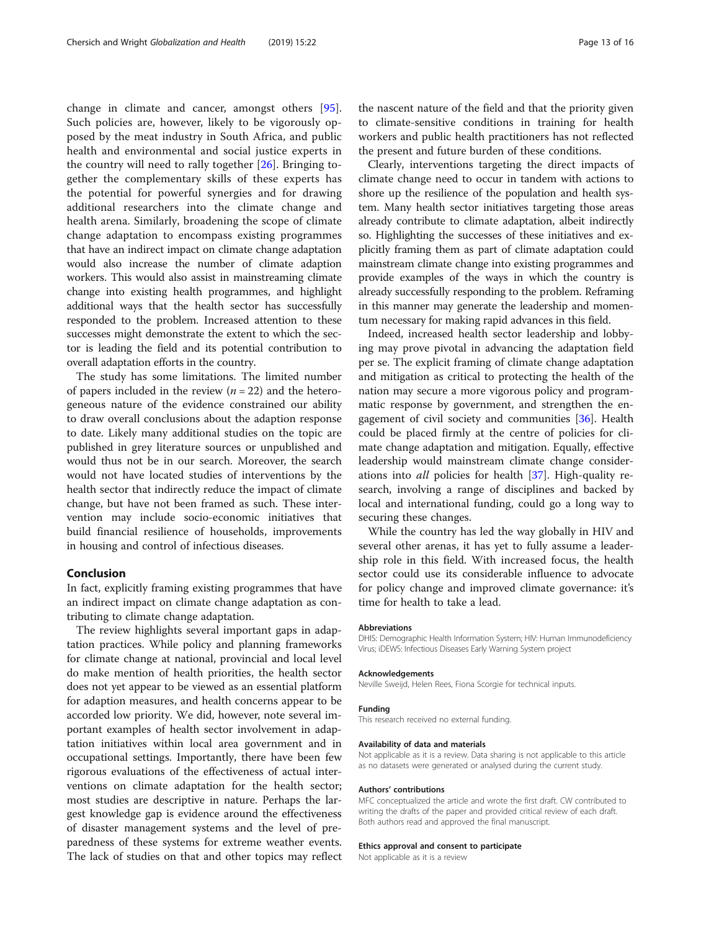change in climate and cancer, amongst others [[95](#page-15-0)]. Such policies are, however, likely to be vigorously opposed by the meat industry in South Africa, and public health and environmental and social justice experts in the country will need to rally together [[26\]](#page-13-0). Bringing together the complementary skills of these experts has the potential for powerful synergies and for drawing additional researchers into the climate change and health arena. Similarly, broadening the scope of climate change adaptation to encompass existing programmes that have an indirect impact on climate change adaptation would also increase the number of climate adaption workers. This would also assist in mainstreaming climate change into existing health programmes, and highlight additional ways that the health sector has successfully responded to the problem. Increased attention to these successes might demonstrate the extent to which the sector is leading the field and its potential contribution to overall adaptation efforts in the country.

The study has some limitations. The limited number of papers included in the review ( $n = 22$ ) and the heterogeneous nature of the evidence constrained our ability to draw overall conclusions about the adaption response to date. Likely many additional studies on the topic are published in grey literature sources or unpublished and would thus not be in our search. Moreover, the search would not have located studies of interventions by the health sector that indirectly reduce the impact of climate change, but have not been framed as such. These intervention may include socio-economic initiatives that build financial resilience of households, improvements in housing and control of infectious diseases.

# Conclusion

In fact, explicitly framing existing programmes that have an indirect impact on climate change adaptation as contributing to climate change adaptation.

The review highlights several important gaps in adaptation practices. While policy and planning frameworks for climate change at national, provincial and local level do make mention of health priorities, the health sector does not yet appear to be viewed as an essential platform for adaption measures, and health concerns appear to be accorded low priority. We did, however, note several important examples of health sector involvement in adaptation initiatives within local area government and in occupational settings. Importantly, there have been few rigorous evaluations of the effectiveness of actual interventions on climate adaptation for the health sector; most studies are descriptive in nature. Perhaps the largest knowledge gap is evidence around the effectiveness of disaster management systems and the level of preparedness of these systems for extreme weather events. The lack of studies on that and other topics may reflect the nascent nature of the field and that the priority given to climate-sensitive conditions in training for health workers and public health practitioners has not reflected the present and future burden of these conditions.

Clearly, interventions targeting the direct impacts of climate change need to occur in tandem with actions to shore up the resilience of the population and health system. Many health sector initiatives targeting those areas already contribute to climate adaptation, albeit indirectly so. Highlighting the successes of these initiatives and explicitly framing them as part of climate adaptation could mainstream climate change into existing programmes and provide examples of the ways in which the country is already successfully responding to the problem. Reframing in this manner may generate the leadership and momentum necessary for making rapid advances in this field.

Indeed, increased health sector leadership and lobbying may prove pivotal in advancing the adaptation field per se. The explicit framing of climate change adaptation and mitigation as critical to protecting the health of the nation may secure a more vigorous policy and programmatic response by government, and strengthen the engagement of civil society and communities [[36\]](#page-13-0). Health could be placed firmly at the centre of policies for climate change adaptation and mitigation. Equally, effective leadership would mainstream climate change considerations into all policies for health [[37\]](#page-13-0). High-quality research, involving a range of disciplines and backed by local and international funding, could go a long way to securing these changes.

While the country has led the way globally in HIV and several other arenas, it has yet to fully assume a leadership role in this field. With increased focus, the health sector could use its considerable influence to advocate for policy change and improved climate governance: it's time for health to take a lead.

#### Abbreviations

DHIS: Demographic Health Information System; HIV: Human Immunodeficiency Virus; iDEWS: Infectious Diseases Early Warning System project

#### Acknowledgements

Neville Sweijd, Helen Rees, Fiona Scorgie for technical inputs.

#### Funding

This research received no external funding.

#### Availability of data and materials

Not applicable as it is a review. Data sharing is not applicable to this article as no datasets were generated or analysed during the current study.

#### Authors' contributions

MFC conceptualized the article and wrote the first draft. CW contributed to writing the drafts of the paper and provided critical review of each draft. Both authors read and approved the final manuscript.

## Ethics approval and consent to participate

Not applicable as it is a review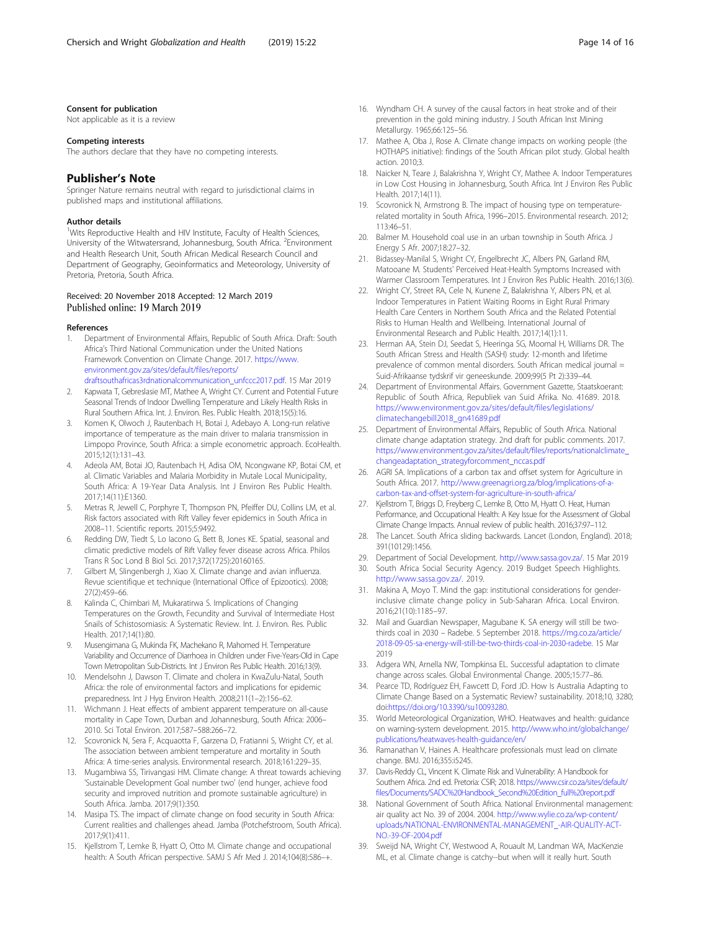# <span id="page-13-0"></span>Consent for publication

Not applicable as it is a review

#### Competing interests

The authors declare that they have no competing interests.

# Publisher's Note

Springer Nature remains neutral with regard to jurisdictional claims in published maps and institutional affiliations.

#### Author details

<sup>1</sup>Wits Reproductive Health and HIV Institute, Faculty of Health Sciences, University of the Witwatersrand, Johannesburg, South Africa. <sup>2</sup>Environment and Health Research Unit, South African Medical Research Council and Department of Geography, Geoinformatics and Meteorology, University of Pretoria, Pretoria, South Africa.

# Received: 20 November 2018 Accepted: 12 March 2019 Published online: 19 March 2019

#### References

- 1. Department of Environmental Affairs, Republic of South Africa. Draft: South Africa's Third National Communication under the United Nations Framework Convention on Climate Change. 2017. [https://www.](https://www.environment.gov.za/sites/default/files/reports/draftsouthafricas3rdnationalcommunication_unfccc2017.pdf) [environment.gov.za/sites/default/files/reports/](https://www.environment.gov.za/sites/default/files/reports/draftsouthafricas3rdnationalcommunication_unfccc2017.pdf) [draftsouthafricas3rdnationalcommunication\\_unfccc2017.pdf](https://www.environment.gov.za/sites/default/files/reports/draftsouthafricas3rdnationalcommunication_unfccc2017.pdf). 15 Mar 2019
- 2. Kapwata T, Gebreslasie MT, Mathee A, Wright CY. Current and Potential Future Seasonal Trends of Indoor Dwelling Temperature and Likely Health Risks in Rural Southern Africa. Int. J. Environ. Res. Public Health. 2018;15(5):16.
- 3. Komen K, Olwoch J, Rautenbach H, Botai J, Adebayo A. Long-run relative importance of temperature as the main driver to malaria transmission in Limpopo Province, South Africa: a simple econometric approach. EcoHealth. 2015;12(1):131–43.
- 4. Adeola AM, Botai JO, Rautenbach H, Adisa OM, Ncongwane KP, Botai CM, et al. Climatic Variables and Malaria Morbidity in Mutale Local Municipality, South Africa: A 19-Year Data Analysis. Int J Environ Res Public Health. 2017;14(11):E1360.
- Metras R, Jewell C, Porphyre T, Thompson PN, Pfeiffer DU, Collins LM, et al. Risk factors associated with Rift Valley fever epidemics in South Africa in 2008–11. Scientific reports. 2015;5:9492.
- 6. Redding DW, Tiedt S, Lo Iacono G, Bett B, Jones KE. Spatial, seasonal and climatic predictive models of Rift Valley fever disease across Africa. Philos Trans R Soc Lond B Biol Sci. 2017;372(1725):20160165.
- 7. Gilbert M, Slingenbergh J, Xiao X. Climate change and avian influenza. Revue scientifique et technique (International Office of Epizootics). 2008; 27(2):459–66.
- Kalinda C, Chimbari M, Mukaratirwa S. Implications of Changing Temperatures on the Growth, Fecundity and Survival of Intermediate Host Snails of Schistosomiasis: A Systematic Review. Int. J. Environ. Res. Public Health. 2017;14(1):80.
- 9. Musengimana G, Mukinda FK, Machekano R, Mahomed H. Temperature Variability and Occurrence of Diarrhoea in Children under Five-Years-Old in Cape Town Metropolitan Sub-Districts. Int J Environ Res Public Health. 2016;13(9).
- 10. Mendelsohn J, Dawson T. Climate and cholera in KwaZulu-Natal, South Africa: the role of environmental factors and implications for epidemic preparedness. Int J Hyg Environ Health. 2008;211(1–2):156–62.
- 11. Wichmann J. Heat effects of ambient apparent temperature on all-cause mortality in Cape Town, Durban and Johannesburg, South Africa: 2006– 2010. Sci Total Environ. 2017;587–588:266–72.
- 12. Scovronick N, Sera F, Acquaotta F, Garzena D, Fratianni S, Wright CY, et al. The association between ambient temperature and mortality in South Africa: A time-series analysis. Environmental research. 2018;161:229–35.
- 13. Mugambiwa SS, Tirivangasi HM. Climate change: A threat towards achieving 'Sustainable Development Goal number two' (end hunger, achieve food security and improved nutrition and promote sustainable agriculture) in South Africa. Jamba. 2017;9(1):350.
- 14. Masipa TS. The impact of climate change on food security in South Africa: Current realities and challenges ahead. Jamba (Potchefstroom, South Africa). 2017;9(1):411.
- 15. Kjellstrom T, Lemke B, Hyatt O, Otto M. Climate change and occupational health: A South African perspective. SAMJ S Afr Med J. 2014;104(8):586–+.
- 16. Wyndham CH. A survey of the causal factors in heat stroke and of their prevention in the gold mining industry. J South African Inst Mining Metallurgy. 1965;66:125–56.
- 17. Mathee A, Oba J, Rose A. Climate change impacts on working people (the HOTHAPS initiative): findings of the South African pilot study. Global health action. 2010;3.
- 18. Naicker N, Teare J, Balakrishna Y, Wright CY, Mathee A. Indoor Temperatures in Low Cost Housing in Johannesburg, South Africa. Int J Environ Res Public Health. 2017;14(11).
- 19. Scovronick N, Armstrong B. The impact of housing type on temperaturerelated mortality in South Africa, 1996–2015. Environmental research. 2012; 113:46–51.
- 20. Balmer M. Household coal use in an urban township in South Africa. J Energy S Afr. 2007;18:27–32.
- 21. Bidassey-Manilal S, Wright CY, Engelbrecht JC, Albers PN, Garland RM, Matooane M. Students' Perceived Heat-Health Symptoms Increased with Warmer Classroom Temperatures. Int J Environ Res Public Health. 2016;13(6).
- 22. Wright CY, Street RA, Cele N, Kunene Z, Balakrishna Y, Albers PN, et al. Indoor Temperatures in Patient Waiting Rooms in Eight Rural Primary Health Care Centers in Northern South Africa and the Related Potential Risks to Human Health and Wellbeing. International Journal of Environmental Research and Public Health. 2017;14(1):11.
- 23. Herman AA, Stein DJ, Seedat S, Heeringa SG, Moomal H, Williams DR. The South African Stress and Health (SASH) study: 12-month and lifetime prevalence of common mental disorders. South African medical journal = Suid-Afrikaanse tydskrif vir geneeskunde. 2009;99(5 Pt 2):339–44.
- 24. Department of Environmental Affairs. Government Gazette, Staatskoerant: Republic of South Africa, Republiek van Suid Afrika. No. 41689. 2018. [https://www.environment.gov.za/sites/default/files/legislations/](https://www.environment.gov.za/sites/default/files/legislations/climatechangebill2018_gn41689.pdf) [climatechangebill2018\\_gn41689.pdf](https://www.environment.gov.za/sites/default/files/legislations/climatechangebill2018_gn41689.pdf)
- 25. Department of Environmental Affairs, Republic of South Africa. National climate change adaptation strategy. 2nd draft for public comments. 2017. [https://www.environment.gov.za/sites/default/files/reports/nationalclimate\\_](https://www.environment.gov.za/sites/default/files/reports/nationalclimate_changeadaptation_strategyforcomment_nccas.pdf) [changeadaptation\\_strategyforcomment\\_nccas.pdf](https://www.environment.gov.za/sites/default/files/reports/nationalclimate_changeadaptation_strategyforcomment_nccas.pdf)
- 26. AGRI SA. Implications of a carbon tax and offset system for Agriculture in South Africa. 2017. [http://www.greenagri.org.za/blog/implications-of-a](http://www.greenagri.org.za/blog/implications-of-a-carbon-tax-and-offset-system-for-agriculture-in-south-africa/)[carbon-tax-and-offset-system-for-agriculture-in-south-africa/](http://www.greenagri.org.za/blog/implications-of-a-carbon-tax-and-offset-system-for-agriculture-in-south-africa/)
- 27. Kjellstrom T, Briggs D, Freyberg C, Lemke B, Otto M, Hyatt O. Heat, Human Performance, and Occupational Health: A Key Issue for the Assessment of Global Climate Change Impacts. Annual review of public health. 2016;37:97–112.
- 28. The Lancet. South Africa sliding backwards. Lancet (London, England). 2018; 391(10129):1456.
- 29. Department of Social Development. <http://www.sassa.gov.za/>. 15 Mar 2019
- 30. South Africa Social Security Agency. 2019 Budget Speech Highlights. <http://www.sassa.gov.za/>. 2019.
- 31. Makina A, Moyo T. Mind the gap: institutional considerations for genderinclusive climate change policy in Sub-Saharan Africa. Local Environ. 2016;21(10):1185–97.
- 32. Mail and Guardian Newspaper, Magubane K. SA energy will still be twothirds coal in 2030 – Radebe. 5 September 2018. [https://mg.co.za/article/](https://mg.co.za/article/2018-09-05-sa-energy-will-still-be-two-thirds-coal-in-2030-radebe) [2018-09-05-sa-energy-will-still-be-two-thirds-coal-in-2030-radebe.](https://mg.co.za/article/2018-09-05-sa-energy-will-still-be-two-thirds-coal-in-2030-radebe) 15 Mar 2019
- 33. Adgera WN, Arnella NW, Tompkinsa EL. Successful adaptation to climate change across scales. Global Environmental Change. 2005;15:77–86.
- 34. Pearce TD, Rodríguez EH, Fawcett D, Ford JD. How Is Australia Adapting to Climate Change Based on a Systematic Review? sustainability. 2018;10, 3280; doi[:https://doi.org/10.3390/su10093280.](https://doi.org/10.3390/su10093280)
- 35. World Meteorological Organization, WHO. Heatwaves and health: guidance on warning-system development. 2015. [http://www.who.int/globalchange/](http://www.who.int/globalchange/publications/heatwaves-health-guidance/en/) [publications/heatwaves-health-guidance/en/](http://www.who.int/globalchange/publications/heatwaves-health-guidance/en/)
- 36. Ramanathan V, Haines A. Healthcare professionals must lead on climate change. BMJ. 2016;355:i5245.
- 37. Davis-Reddy CL, Vincent K. Climate Risk and Vulnerability: A Handbook for Southern Africa. 2nd ed. Pretoria: CSIR; 2018. [https://www.csir.co.za/sites/default/](https://www.csir.co.za/sites/default/files/Documents/SADC%20Handbook_Second%20Edition_full%20report.pdf) [files/Documents/SADC%20Handbook\\_Second%20Edition\\_full%20report.pdf](https://www.csir.co.za/sites/default/files/Documents/SADC%20Handbook_Second%20Edition_full%20report.pdf)
- 38. National Government of South Africa. National Environmental management: air quality act No. 39 of 2004. 2004. [http://www.wylie.co.za/wp-content/](http://www.wylie.co.za/wp-content/uploads/NATIONAL-ENVIRONMENTAL-MANAGEMENT_-AIR-QUALITY-ACT-NO.-39-OF-2004.pdf) [uploads/NATIONAL-ENVIRONMENTAL-MANAGEMENT\\_-AIR-QUALITY-ACT-](http://www.wylie.co.za/wp-content/uploads/NATIONAL-ENVIRONMENTAL-MANAGEMENT_-AIR-QUALITY-ACT-NO.-39-OF-2004.pdf)[NO.-39-OF-2004.pdf](http://www.wylie.co.za/wp-content/uploads/NATIONAL-ENVIRONMENTAL-MANAGEMENT_-AIR-QUALITY-ACT-NO.-39-OF-2004.pdf)
- 39. Sweijd NA, Wright CY, Westwood A, Rouault M, Landman WA, MacKenzie ML, et al. Climate change is catchy--but when will it really hurt. South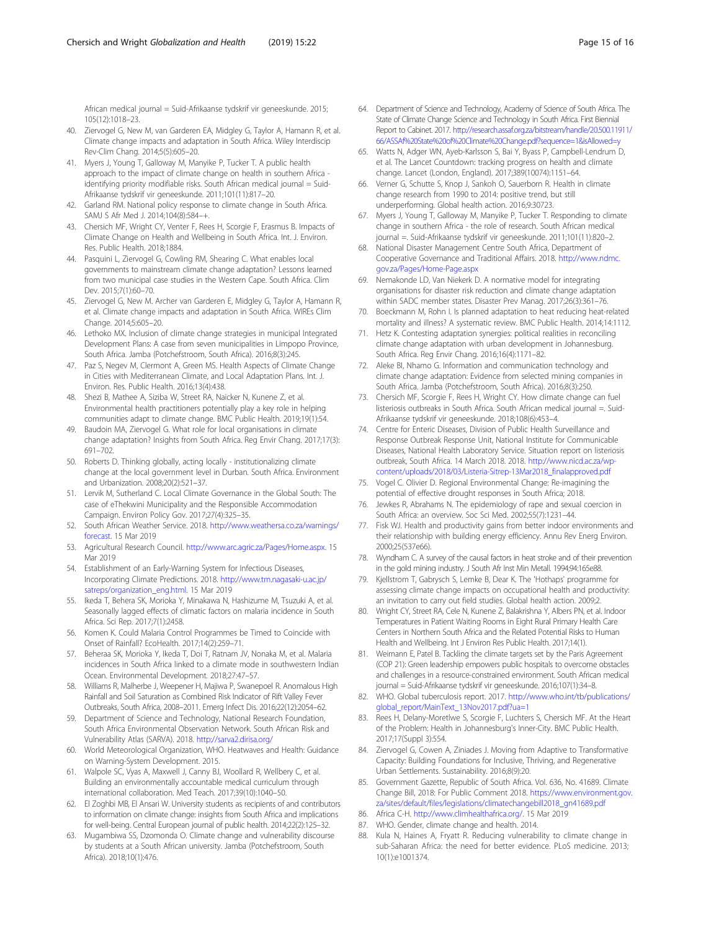<span id="page-14-0"></span>African medical journal = Suid-Afrikaanse tydskrif vir geneeskunde. 2015; 105(12):1018–23.

- 40. Ziervogel G, New M, van Garderen EA, Midgley G, Taylor A, Hamann R, et al. Climate change impacts and adaptation in South Africa. Wiley Interdiscip Rev-Clim Chang. 2014;5(5):605–20.
- 41. Myers J, Young T, Galloway M, Manyike P, Tucker T. A public health approach to the impact of climate change on health in southern Africa identifying priority modifiable risks. South African medical journal = Suid-Afrikaanse tydskrif vir geneeskunde. 2011;101(11):817–20.
- 42. Garland RM. National policy response to climate change in South Africa. SAMJ S Afr Med J. 2014;104(8):584-+
- 43. Chersich MF, Wright CY, Venter F, Rees H, Scorgie F, Erasmus B. Impacts of Climate Change on Health and Wellbeing in South Africa. Int. J. Environ. Res. Public Health. 2018;1884.
- 44. Pasquini L, Ziervogel G, Cowling RM, Shearing C. What enables local governments to mainstream climate change adaptation? Lessons learned from two municipal case studies in the Western Cape. South Africa. Clim Dev. 2015;7(1):60–70.
- 45. Ziervogel G, New M. Archer van Garderen E, Midgley G, Taylor A, Hamann R, et al. Climate change impacts and adaptation in South Africa. WIREs Clim Change. 2014;5:605–20.
- 46. Lethoko MX. Inclusion of climate change strategies in municipal Integrated Development Plans: A case from seven municipalities in Limpopo Province, South Africa. Jamba (Potchefstroom, South Africa). 2016;8(3):245.
- 47. Paz S, Negev M, Clermont A, Green MS. Health Aspects of Climate Change in Cities with Mediterranean Climate, and Local Adaptation Plans. Int. J. Environ. Res. Public Health. 2016;13(4):438.
- 48. Shezi B, Mathee A, Siziba W, Street RA, Naicker N, Kunene Z, et al. Environmental health practitioners potentially play a key role in helping communities adapt to climate change. BMC Public Health. 2019;19(1):54.
- 49. Baudoin MA, Ziervogel G. What role for local organisations in climate change adaptation? Insights from South Africa. Reg Envir Chang. 2017;17(3): 691–702.
- 50. Roberts D. Thinking globally, acting locally institutionalizing climate change at the local government level in Durban. South Africa. Environment and Urbanization. 2008;20(2):521–37.
- 51. Lervik M, Sutherland C. Local Climate Governance in the Global South: The case of eThekwini Municipality and the Responsible Accommodation Campaign. Environ Policy Gov. 2017;27(4):325–35.
- 52. South African Weather Service. 2018. [http://www.weathersa.co.za/warnings/](http://www.weathersa.co.za/warnings/forecast) [forecast.](http://www.weathersa.co.za/warnings/forecast) 15 Mar 2019
- 53. Agricultural Research Council. <http://www.arc.agric.za/Pages/Home.aspx>. 15 Mar 2019
- 54. Establishment of an Early-Warning System for Infectious Diseases, Incorporating Climate Predictions. 2018. [http://www.tm.nagasaki-u.ac.jp/](http://www.tm.nagasaki-u.ac.jp/satreps/organization_eng.html) [satreps/organization\\_eng.html](http://www.tm.nagasaki-u.ac.jp/satreps/organization_eng.html). 15 Mar 2019
- 55. Ikeda T, Behera SK, Morioka Y, Minakawa N, Hashizume M, Tsuzuki A, et al. Seasonally lagged effects of climatic factors on malaria incidence in South Africa. Sci Rep. 2017;7(1):2458.
- 56. Komen K. Could Malaria Control Programmes be Timed to Coincide with Onset of Rainfall? EcoHealth. 2017;14(2):259–71.
- 57. Beheraa SK, Morioka Y, Ikeda T, Doi T, Ratnam JV, Nonaka M, et al. Malaria incidences in South Africa linked to a climate mode in southwestern Indian Ocean. Environmental Development. 2018;27:47–57.
- 58. Williams R, Malherbe J, Weepener H, Majiwa P, Swanepoel R. Anomalous High Rainfall and Soil Saturation as Combined Risk Indicator of Rift Valley Fever Outbreaks, South Africa, 2008–2011. Emerg Infect Dis. 2016;22(12):2054–62.
- 59. Department of Science and Technology, National Research Foundation, South Africa Environmental Observation Network. South African Risk and Vulnerability Atlas (SARVA). 2018. <http://sarva2.dirisa.org/>
- 60. World Meteorological Organization, WHO. Heatwaves and Health: Guidance on Warning-System Development. 2015.
- 61. Walpole SC, Vyas A, Maxwell J, Canny BJ, Woollard R, Wellbery C, et al. Building an environmentally accountable medical curriculum through international collaboration. Med Teach. 2017;39(10):1040–50.
- 62. El Zoghbi MB, El Ansari W. University students as recipients of and contributors to information on climate change: insights from South Africa and implications for well-being. Central European journal of public health. 2014;22(2):125–32.
- 63. Mugambiwa SS, Dzomonda O. Climate change and vulnerability discourse by students at a South African university. Jamba (Potchefstroom, South Africa). 2018;10(1):476.
- 64. Department of Science and Technology, Academy of Science of South Africa. The State of Climate Change Science and Technology in South Africa. First Biennial Report to Cabinet. 2017. [http://research.assaf.org.za/bitstream/handle/20.500.11911/](http://research.assaf.org.za/bitstream/handle/20.500.11911/66/ASSAf%20State%20of%20Climate%20Change.pdf?sequence=1&isAllowed=y) [66/ASSAf%20State%20of%20Climate%20Change.pdf?sequence=1&isAllowed=y](http://research.assaf.org.za/bitstream/handle/20.500.11911/66/ASSAf%20State%20of%20Climate%20Change.pdf?sequence=1&isAllowed=y)
- 65. Watts N, Adger WN, Ayeb-Karlsson S, Bai Y, Byass P, Campbell-Lendrum D, et al. The Lancet Countdown: tracking progress on health and climate change. Lancet (London, England). 2017;389(10074):1151–64.
- 66. Verner G, Schutte S, Knop J, Sankoh O, Sauerborn R. Health in climate change research from 1990 to 2014: positive trend, but still underperforming. Global health action. 2016;9:30723.
- 67. Myers J, Young T, Galloway M, Manyike P, Tucker T. Responding to climate change in southern Africa - the role of research. South African medical journal =. Suid-Afrikaanse tydskrif vir geneeskunde. 2011;101(11):820–2.
- 68. National Disaster Management Centre South Africa, Department of Cooperative Governance and Traditional Affairs. 2018. [http://www.ndmc.](http://www.ndmc.gov.za/Pages/Home-Page.aspx) [gov.za/Pages/Home-Page.aspx](http://www.ndmc.gov.za/Pages/Home-Page.aspx)
- 69. Nemakonde LD, Van Niekerk D. A normative model for integrating organisations for disaster risk reduction and climate change adaptation within SADC member states. Disaster Prev Manag. 2017;26(3):361–76.
- 70. Boeckmann M, Rohn I. Is planned adaptation to heat reducing heat-related mortality and illness? A systematic review. BMC Public Health. 2014;14:1112.
- 71. Hetz K. Contesting adaptation synergies: political realities in reconciling climate change adaptation with urban development in Johannesburg. South Africa. Reg Envir Chang. 2016;16(4):1171–82.
- 72. Aleke BI, Nhamo G. Information and communication technology and climate change adaptation: Evidence from selected mining companies in South Africa. Jamba (Potchefstroom, South Africa). 2016;8(3):250.
- 73. Chersich MF, Scorgie F, Rees H, Wright CY. How climate change can fuel listeriosis outbreaks in South Africa. South African medical journal =. Suid-Afrikaanse tydskrif vir geneeskunde. 2018;108(6):453–4.
- 74. Centre for Enteric Diseases, Division of Public Health Surveillance and Response Outbreak Response Unit, National Institute for Communicable Diseases, National Health Laboratory Service. Situation report on listeriosis outbreak, South Africa. 14 March 2018. 2018. [http://www.nicd.ac.za/wp](http://www.nicd.ac.za/wp-content/uploads/2018/03/Listeria-Sitrep-13Mar2018_finalapproved.pdf)[content/uploads/2018/03/Listeria-Sitrep-13Mar2018\\_finalapproved.pdf](http://www.nicd.ac.za/wp-content/uploads/2018/03/Listeria-Sitrep-13Mar2018_finalapproved.pdf)
- 75. Vogel C. Olivier D. Regional Environmental Change: Re-imagining the potential of effective drought responses in South Africa; 2018.
- 76. Jewkes R, Abrahams N. The epidemiology of rape and sexual coercion in South Africa: an overview. Soc Sci Med. 2002;55(7):1231–44.
- 77. Fisk WJ. Health and productivity gains from better indoor environments and their relationship with building energy efficiency. Annu Rev Energ Environ. 2000;25(537e66).
- 78. Wyndham C. A survey of the causal factors in heat stroke and of their prevention in the gold mining industry. J South Afr Inst Min Metall. 1994;94:165e88.
- 79. Kjellstrom T, Gabrysch S, Lemke B, Dear K. The 'Hothaps' programme for assessing climate change impacts on occupational health and productivity: an invitation to carry out field studies. Global health action. 2009;2.
- 80. Wright CY, Street RA, Cele N, Kunene Z, Balakrishna Y, Albers PN, et al. Indoor Temperatures in Patient Waiting Rooms in Eight Rural Primary Health Care Centers in Northern South Africa and the Related Potential Risks to Human Health and Wellbeing. Int J Environ Res Public Health. 2017;14(1).
- 81. Weimann E, Patel B. Tackling the climate targets set by the Paris Agreement (COP 21): Green leadership empowers public hospitals to overcome obstacles and challenges in a resource-constrained environment. South African medical journal = Suid-Afrikaanse tydskrif vir geneeskunde. 2016;107(1):34–8.
- 82. WHO. Global tuberculosis report. 2017. [http://www.who.int/tb/publications/](http://www.who.int/tb/publications/global_report/MainText_13Nov2017.pdf?ua=1) [global\\_report/MainText\\_13Nov2017.pdf?ua=1](http://www.who.int/tb/publications/global_report/MainText_13Nov2017.pdf?ua=1)
- 83. Rees H, Delany-Moretlwe S, Scorgie F, Luchters S, Chersich MF. At the Heart of the Problem: Health in Johannesburg's Inner-City. BMC Public Health. 2017;17(Suppl 3):554.
- 84. Ziervogel G, Cowen A, Ziniades J. Moving from Adaptive to Transformative Capacity: Building Foundations for Inclusive, Thriving, and Regenerative Urban Settlements. Sustainability. 2016;8(9):20.
- 85. Government Gazette, Republic of South Africa. Vol. 636, No. 41689. Climate Change Bill, 2018: For Public Comment 2018. [https://www.environment.gov.](https://www.environment.gov.za/sites/default/files/legislations/climatechangebill2018_gn41689.pdf) [za/sites/default/files/legislations/climatechangebill2018\\_gn41689.pdf](https://www.environment.gov.za/sites/default/files/legislations/climatechangebill2018_gn41689.pdf)
- 86. Africa C-H. <http://www.climhealthafrica.org/>. 15 Mar 2019
- 87. WHO. Gender, climate change and health. 2014.
- 88. Kula N, Haines A, Fryatt R. Reducing vulnerability to climate change in sub-Saharan Africa: the need for better evidence. PLoS medicine. 2013; 10(1):e1001374.